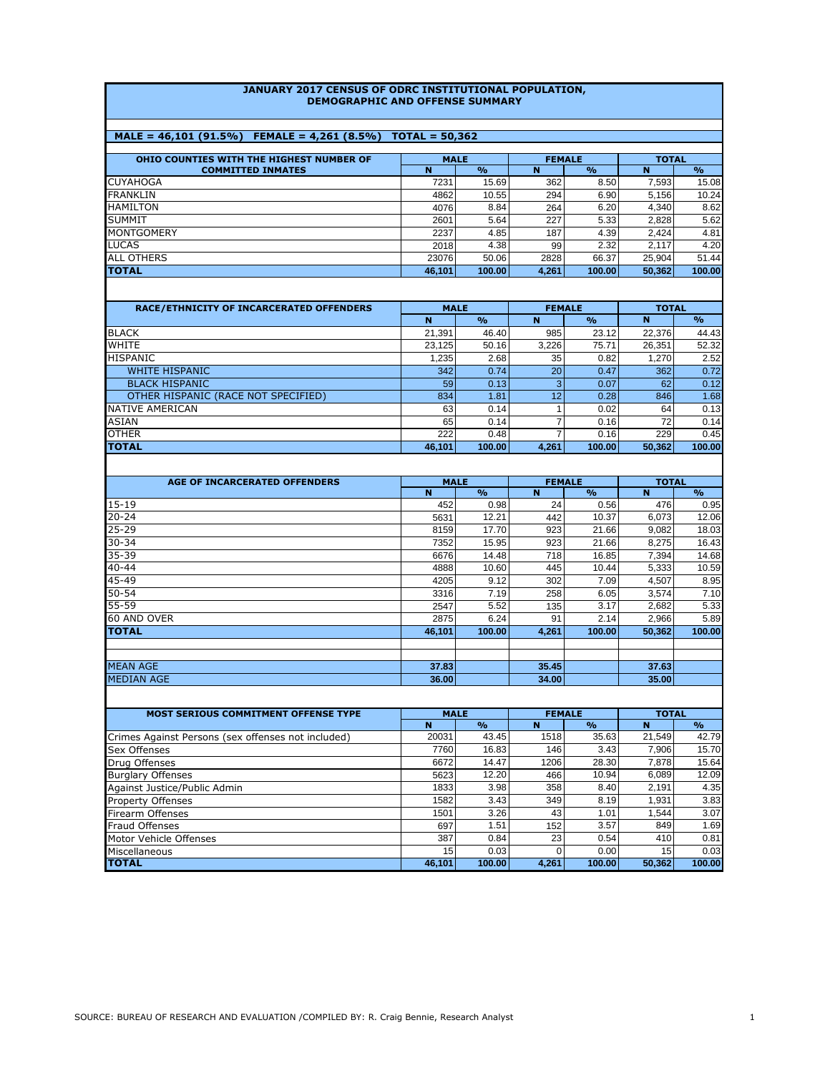#### **JANUARY 2017 CENSUS OF ODRC INSTITUTIONAL POPULATION, DEMOGRAPHIC AND OFFENSE SUMMARY**

# **MALE = 46,101 (91.5%) FEMALE = 4,261 (8.5%) TOTAL = 50,362**

| OHIO COUNTIES WITH THE HIGHEST NUMBER OF | <b>MALE</b> |                    | <b>FEMALE</b> |                    | <b>TOTAL</b> |                    |
|------------------------------------------|-------------|--------------------|---------------|--------------------|--------------|--------------------|
| <b>COMMITTED INMATES</b>                 | N           | $\frac{0}{\alpha}$ | N             | $\frac{0}{\alpha}$ | N            | $\frac{0}{\alpha}$ |
| <b>CUYAHOGA</b>                          | 7231        | 15.69              | 362           | 8.50               | 7.593        | 15.08              |
| <b>FRANKLIN</b>                          | 4862        | 10.55              | 294           | 6.90               | 5.156        | 10.24              |
| HAMILTON                                 | 4076        | 8.84               | 264           | 6.20               | 4.340        | 8.62               |
| <b>SUMMIT</b>                            | 2601        | 5.64               | 227           | 5.33               | 2.828        | 5.62               |
| <b>MONTGOMERY</b>                        | 2237        | 4.85               | 187           | 4.39               | 2.424        | 4.81               |
| <b>LUCAS</b>                             | 2018        | 4.38               | 99            | 2.32               | 2.117        | 4.20               |
| <b>ALL OTHERS</b>                        | 23076       | 50.06              | 2828          | 66.37              | 25.904       | 51.44              |
| <b>TOTAL</b>                             | 46,101      | 100.00             | 4,261         | 100.00             | 50,362       | 100.00             |

| <b>RACE/ETHNICITY OF INCARCERATED OFFENDERS</b> | <b>MALE</b> |                    | <b>FEMALE</b> |                    | <b>TOTAL</b> |                    |  |
|-------------------------------------------------|-------------|--------------------|---------------|--------------------|--------------|--------------------|--|
|                                                 | N           | $\frac{0}{\alpha}$ | N             | $\frac{0}{\alpha}$ | $\mathbf N$  | $\frac{0}{\alpha}$ |  |
| <b>BLACK</b>                                    | 21.391      | 46.40              | 985           | 23.12              | 22.376       | 44.43              |  |
| <b>WHITE</b>                                    | 23.125      | 50.16              | 3.226         | 75.71              | 26.351       | 52.32              |  |
| <b>HISPANIC</b>                                 | 1,235       | 2.68               | 35            | 0.82               | 1.270        | 2.52               |  |
| <b>WHITE HISPANIC</b>                           | 342         | 0.74               | 20            | 0.47               | 362          | 0.72               |  |
| <b>BLACK HISPANIC</b>                           | 59          | 0.13               |               | 0.07               | 62           | 0.12               |  |
| OTHER HISPANIC (RACE NOT SPECIFIED)             | 834         | 1.81               | 12            | 0.28               | 846          | 1.68               |  |
| NATIVE AMERICAN                                 | 63          | 0.14               |               | 0.02               | 64           | 0.13               |  |
| <b>ASIAN</b>                                    | 65          | 0.14               |               | 0.16               | 72           | 0.14               |  |
| <b>OTHER</b>                                    | 222         | 0.48               |               | 0.16               | 229          | 0.45               |  |
| <b>TOTAL</b>                                    | 46.101      | 100.00             | 4,261         | 100.00             | 50.362       | 100.00             |  |
|                                                 |             |                    |               |                    |              |                    |  |

| <b>AGE OF INCARCERATED OFFENDERS</b> | <b>MALE</b> |                    |       | <b>FEMALE</b> | <b>TOTAL</b> |               |  |
|--------------------------------------|-------------|--------------------|-------|---------------|--------------|---------------|--|
|                                      | N           | $\frac{0}{\alpha}$ | N     | $\frac{O}{O}$ | N            | $\frac{O}{O}$ |  |
| $15 - 19$                            | 452         | 0.98               | 24    | 0.56          | 476          | 0.95          |  |
| $20 - 24$                            | 5631        | 12.21              | 442   | 10.37         | 6,073        | 12.06         |  |
| $25 - 29$                            | 8159        | 17.70              | 923   | 21.66         | 9,082        | 18.03         |  |
| $30 - 34$                            | 7352        | 15.95              | 923   | 21.66         | 8,275        | 16.43         |  |
| 35-39                                | 6676        | 14.48              | 718   | 16.85         | 7,394        | 14.68         |  |
| $40 - 44$                            | 4888        | 10.60              | 445   | 10.44         | 5,333        | 10.59         |  |
| 45-49                                | 4205        | 9.12               | 302   | 7.09          | 4,507        | 8.95          |  |
| $50 - 54$                            | 3316        | 7.19               | 258   | 6.05          | 3,574        | 7.10          |  |
| 55-59                                | 2547        | 5.52               | 135   | 3.17          | 2,682        | 5.33          |  |
| 60 AND OVER                          | 2875        | 6.24               | 91    | 2.14          | 2,966        | 5.89          |  |
| <b>TOTAL</b>                         | 46,101      | 100.00             | 4,261 | 100.00        | 50,362       | 100.00        |  |
|                                      |             |                    |       |               |              |               |  |
|                                      |             |                    |       |               |              |               |  |
| <b>MEAN AGE</b>                      | 37.83       |                    | 35.45 |               | 37.63        |               |  |
| <b>MEDIAN AGE</b>                    | 36,00       |                    | 34.00 |               | 35.00        |               |  |

| <b>MOST SERIOUS COMMITMENT OFFENSE TYPE</b>        | <b>MALE</b> |                    | <b>FEMALE</b> |                    | <b>TOTAL</b> |               |
|----------------------------------------------------|-------------|--------------------|---------------|--------------------|--------------|---------------|
|                                                    | N           | $\frac{0}{\alpha}$ | N             | $\frac{0}{\alpha}$ | N            | $\frac{9}{6}$ |
| Crimes Against Persons (sex offenses not included) | 20031       | 43.45              | 1518          | 35.63              | 21.549       | 42.79         |
| <b>Sex Offenses</b>                                | 7760        | 16.83              | 146           | 3.43               | 7.906        | 15.70         |
| Drug Offenses                                      | 6672        | 14.47              | 1206          | 28.30              | 7.878        | 15.64         |
| <b>Burglary Offenses</b>                           | 5623        | 12.20              | 466           | 10.94              | 6.089        | 12.09         |
| Against Justice/Public Admin                       | 1833        | 3.98               | 358           | 8.40               | 2.191        | 4.35          |
| <b>Property Offenses</b>                           | 1582        | 3.43               | 349           | 8.19               | 1.931        | 3.83          |
| <b>Firearm Offenses</b>                            | 1501        | 3.26               | 43            | 1.01               | 1.544        | 3.07          |
| <b>Fraud Offenses</b>                              | 697         | 1.51               | 152           | 3.57               | 849          | 1.69          |
| Motor Vehicle Offenses                             | 387         | 0.84               | 23            | 0.54               | 410          | 0.81          |
| Miscellaneous                                      | 15          | 0.03               |               | 0.00               | 15           | 0.03          |
| <b>ITOTAL</b>                                      | 46.101      | 100.00             | 4.261         | 100.00             | 50.362       | 100.00        |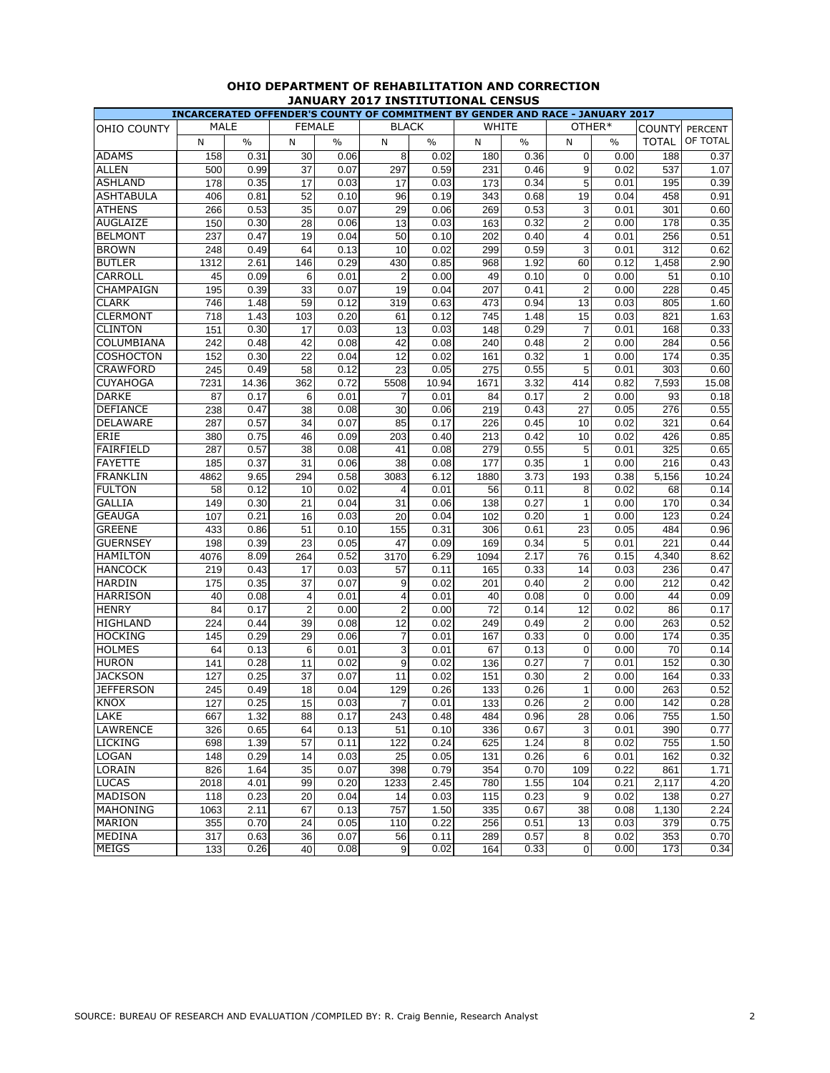|                     |             |       |                |               |                |       |            |      |                | INCARCERATED OFFENDER'S COUNTY OF COMMITMENT BY GENDER AND RACE - JANUARY 2017 |              |                |
|---------------------|-------------|-------|----------------|---------------|----------------|-------|------------|------|----------------|--------------------------------------------------------------------------------|--------------|----------------|
| OHIO COUNTY         | <b>MALE</b> |       | <b>FEMALE</b>  |               | <b>BLACK</b>   |       | WHITE      |      |                | OTHER*                                                                         | COUNTY       | <b>PERCENT</b> |
|                     | N           | $\%$  | N              | $\frac{0}{0}$ | N              | $\%$  | N          | $\%$ | N              | $\%$                                                                           | <b>TOTAL</b> | OF TOTAL       |
| <b>ADAMS</b>        | 158         | 0.31  | 30             | 0.06          | 8              | 0.02  | 180        | 0.36 | $\mathbf 0$    | 0.00                                                                           | 188          | 0.37           |
| <b>ALLEN</b>        | 500         | 0.99  | 37             | 0.07          | 297            | 0.59  | 231        | 0.46 | 9              | 0.02                                                                           | 537          | 1.07           |
| <b>ASHLAND</b>      | 178         | 0.35  | 17             | 0.03          | 17             | 0.03  | 173        | 0.34 | 5              | 0.01                                                                           | 195          | 0.39           |
| <b>ASHTABULA</b>    | 406         | 0.81  | 52             | 0.10          | 96             | 0.19  | 343        | 0.68 | 19             | 0.04                                                                           | 458          | 0.91           |
| <b>ATHENS</b>       | 266         | 0.53  | 35             | 0.07          | 29             | 0.06  | 269        | 0.53 | 3              | 0.01                                                                           | 301          | 0.60           |
| <b>AUGLAIZE</b>     | 150         | 0.30  | 28             | 0.06          | 13             | 0.03  | 163        | 0.32 | $\overline{2}$ | 0.00                                                                           | 178          | 0.35           |
| <b>BELMONT</b>      | 237         | 0.47  | 19             | 0.04          | 50             | 0.10  | 202        | 0.40 | $\overline{4}$ | 0.01                                                                           | 256          | 0.51           |
| <b>BROWN</b>        | 248         | 0.49  | 64             | 0.13          | 10             | 0.02  | 299        | 0.59 | 3              | 0.01                                                                           | 312          | 0.62           |
| <b>BUTLER</b>       | 1312        | 2.61  | 146            | 0.29          | 430            | 0.85  | 968        | 1.92 | 60             | 0.12                                                                           | 1,458        | 2.90           |
| <b>CARROLL</b>      | 45          | 0.09  | 6              | 0.01          | $\overline{2}$ | 0.00  | 49         | 0.10 | $\mathbf 0$    | 0.00                                                                           | 51           | 0.10           |
| CHAMPAIGN           | 195         | 0.39  | 33             | 0.07          | 19             | 0.04  | 207        | 0.41 | $\overline{2}$ | 0.00                                                                           | 228          | 0.45           |
| <b>CLARK</b>        | 746         | 1.48  | 59             | 0.12          | 319            | 0.63  | 473        | 0.94 | 13             | 0.03                                                                           | 805          | 1.60           |
| <b>CLERMONT</b>     | 718         | 1.43  | 103            | 0.20          | 61             | 0.12  | 745        | 1.48 | 15             | 0.03                                                                           | 821          | 1.63           |
| <b>CLINTON</b>      | 151         | 0.30  | 17             | 0.03          | 13             | 0.03  | 148        | 0.29 | $\overline{7}$ | 0.01                                                                           | 168          | 0.33           |
| COLUMBIANA          | 242         | 0.48  | 42             | 0.08          | 42             | 0.08  | 240        | 0.48 | $\overline{2}$ | 0.00                                                                           | 284          | 0.56           |
| <b>COSHOCTON</b>    | 152         | 0.30  | 22             | 0.04          | 12             | 0.02  | 161        | 0.32 | 1              | 0.00                                                                           | 174          | 0.35           |
| <b>CRAWFORD</b>     | 245         | 0.49  | 58             | 0.12          | 23             | 0.05  | 275        | 0.55 | 5              | 0.01                                                                           | 303          | 0.60           |
| <b>CUYAHOGA</b>     | 7231        | 14.36 | 362            | 0.72          | 5508           | 10.94 | 1671       | 3.32 | 414            | 0.82                                                                           | 7,593        | 15.08          |
| <b>DARKE</b>        | 87          | 0.17  | 6              | 0.01          | $\overline{7}$ | 0.01  | 84         | 0.17 | $\overline{2}$ | 0.00                                                                           | 93           | 0.18           |
| <b>DEFIANCE</b>     | 238         | 0.47  | 38             | 0.08          | 30             | 0.06  | 219        | 0.43 | 27             | 0.05                                                                           | 276          | 0.55           |
| <b>DELAWARE</b>     | 287         | 0.57  | 34             | 0.07          | 85             | 0.17  | 226        | 0.45 | 10             | 0.02                                                                           | 321          | 0.64           |
| <b>ERIE</b>         | 380         | 0.75  | 46             | 0.09          | 203            | 0.40  | 213        | 0.42 | 10             | 0.02                                                                           | 426          | 0.85           |
| <b>FAIRFIELD</b>    | 287         | 0.57  | 38             | 0.08          | 41             | 0.08  | 279        | 0.55 | 5              | 0.01                                                                           | 325          | 0.65           |
| <b>FAYETTE</b>      | 185         | 0.37  | 31             | 0.06          | 38             | 0.08  | 177        | 0.35 | 1              | 0.00                                                                           | 216          | 0.43           |
| <b>FRANKLIN</b>     | 4862        | 9.65  | 294            | 0.58          | 3083           | 6.12  | 1880       | 3.73 | 193            | 0.38                                                                           | 5,156        | 10.24          |
| <b>FULTON</b>       | 58          | 0.12  | 10             | 0.02          | 4              | 0.01  | 56         | 0.11 | 8              | 0.02                                                                           | 68           | 0.14           |
| <b>GALLIA</b>       | 149         | 0.30  | 21             | 0.04          | 31             | 0.06  | 138        | 0.27 | $\mathbf{1}$   | 0.00                                                                           | 170          | 0.34           |
| <b>GEAUGA</b>       | 107         | 0.21  | 16             | 0.03          | 20             | 0.04  | 102        | 0.20 | $\mathbf{1}$   | 0.00                                                                           | 123          | 0.24           |
| <b>GREENE</b>       | 433         | 0.86  | 51             | 0.10          | 155            | 0.31  | 306        | 0.61 | 23             | 0.05                                                                           | 484          | 0.96           |
| <b>GUERNSEY</b>     | 198         | 0.39  | 23             | 0.05          | 47             | 0.09  | 169        | 0.34 | 5              | 0.01                                                                           | 221          | 0.44           |
| <b>HAMILTON</b>     | 4076        | 8.09  | 264            | 0.52          | 3170           | 6.29  | 1094       | 2.17 | 76             | 0.15                                                                           | 4,340        | 8.62           |
| <b>HANCOCK</b>      | 219         | 0.43  | 17             | 0.03          | 57             | 0.11  | 165        | 0.33 | 14             | 0.03                                                                           | 236          | 0.47           |
| <b>HARDIN</b>       | 175         | 0.35  | 37             | 0.07          | 9              | 0.02  | 201        | 0.40 | $\overline{c}$ | 0.00                                                                           | 212          | 0.42           |
| <b>HARRISON</b>     | 40          | 0.08  | 4              | 0.01          | 4              | 0.01  | 40         | 0.08 | $\mathbf 0$    | 0.00                                                                           | 44           | 0.09           |
| <b>HENRY</b>        | 84          | 0.17  | $\overline{2}$ | 0.00          | $\overline{2}$ | 0.00  | 72         | 0.14 | 12             | 0.02                                                                           | 86           | 0.17           |
| <b>HIGHLAND</b>     | 224         | 0.44  | 39             | 0.08          | 12             | 0.02  |            | 0.49 | $\overline{c}$ | 0.00                                                                           | 263          | 0.52           |
| <b>HOCKING</b>      | 145         | 0.29  | 29             | 0.06          | $\overline{7}$ |       | 249<br>167 | 0.33 | $\overline{0}$ |                                                                                | 174          | 0.35           |
| <b>HOLMES</b>       | 64          | 0.13  | 6              | 0.01          | 3              | 0.01  | 67         | 0.13 | $\mathbf 0$    | 0.00                                                                           | 70           | 0.14           |
| <b>HURON</b>        |             |       |                |               | 9              | 0.01  |            |      |                | 0.00                                                                           | 152          |                |
|                     | 141         | 0.28  | 11             | 0.02          |                | 0.02  | 136        | 0.27 | $\overline{7}$ | 0.01                                                                           |              | 0.30           |
| <b>JACKSON</b>      | 127         | 0.25  | 37             | 0.07          | 11             | 0.02  | 151        | 0.30 | $\overline{2}$ | 0.00                                                                           | 164          | 0.33           |
| <b>JEFFERSON</b>    | 245         | 0.49  | 18             | 0.04          | 129            | 0.26  | 133        | 0.26 | 1              | 0.00                                                                           | 263          | 0.52           |
| <b>KNOX</b><br>LAKE | 127         | 0.25  | 15             | 0.03          | 7              | 0.01  | 133        | 0.26 | $\overline{c}$ | 0.00                                                                           | 142          | 0.28           |
|                     | 667         | 1.32  | 88             | 0.17          | 243            | 0.48  | 484        | 0.96 | 28             | 0.06                                                                           | 755          | 1.50           |
| <b>LAWRENCE</b>     | 326         | 0.65  | 64             | 0.13          | 51             | 0.10  | 336        | 0.67 | 3              | 0.01                                                                           | 390          | 0.77           |
| <b>LICKING</b>      | 698         | 1.39  | 57             | 0.11          | 122            | 0.24  | 625        | 1.24 | 8              | 0.02                                                                           | 755          | 1.50           |
| <b>LOGAN</b>        | 148         | 0.29  | 14             | 0.03          | 25             | 0.05  | 131        | 0.26 | 6              | 0.01                                                                           | 162          | 0.32           |
| LORAIN              | 826         | 1.64  | 35             | 0.07          | 398            | 0.79  | 354        | 0.70 | 109            | 0.22                                                                           | 861          | 1.71           |
| <b>LUCAS</b>        | 2018        | 4.01  | 99             | 0.20          | 1233           | 2.45  | 780        | 1.55 | 104            | 0.21                                                                           | 2,117        | 4.20           |
| <b>MADISON</b>      | 118         | 0.23  | 20             | 0.04          | 14             | 0.03  | 115        | 0.23 | 9              | 0.02                                                                           | 138          | 0.27           |
| <b>MAHONING</b>     | 1063        | 2.11  | 67             | 0.13          | 757            | 1.50  | 335        | 0.67 | 38             | 0.08                                                                           | 1,130        | 2.24           |
| <b>MARION</b>       | 355         | 0.70  | 24             | 0.05          | 110            | 0.22  | 256        | 0.51 | 13             | 0.03                                                                           | 379          | 0.75           |
| <b>MEDINA</b>       | 317         | 0.63  | 36             | 0.07          | 56             | 0.11  | 289        | 0.57 | 8              | 0.02                                                                           | 353          | 0.70           |
| <b>MEIGS</b>        | 133         | 0.26  | 40             | 0.08          | 9              | 0.02  | 164        | 0.33 | $\mathbf 0$    | 0.00                                                                           | 173          | 0.34           |

# **OHIO DEPARTMENT OF REHABILITATION AND CORRECTION JANUARY 2017 INSTITUTIONAL CENSUS**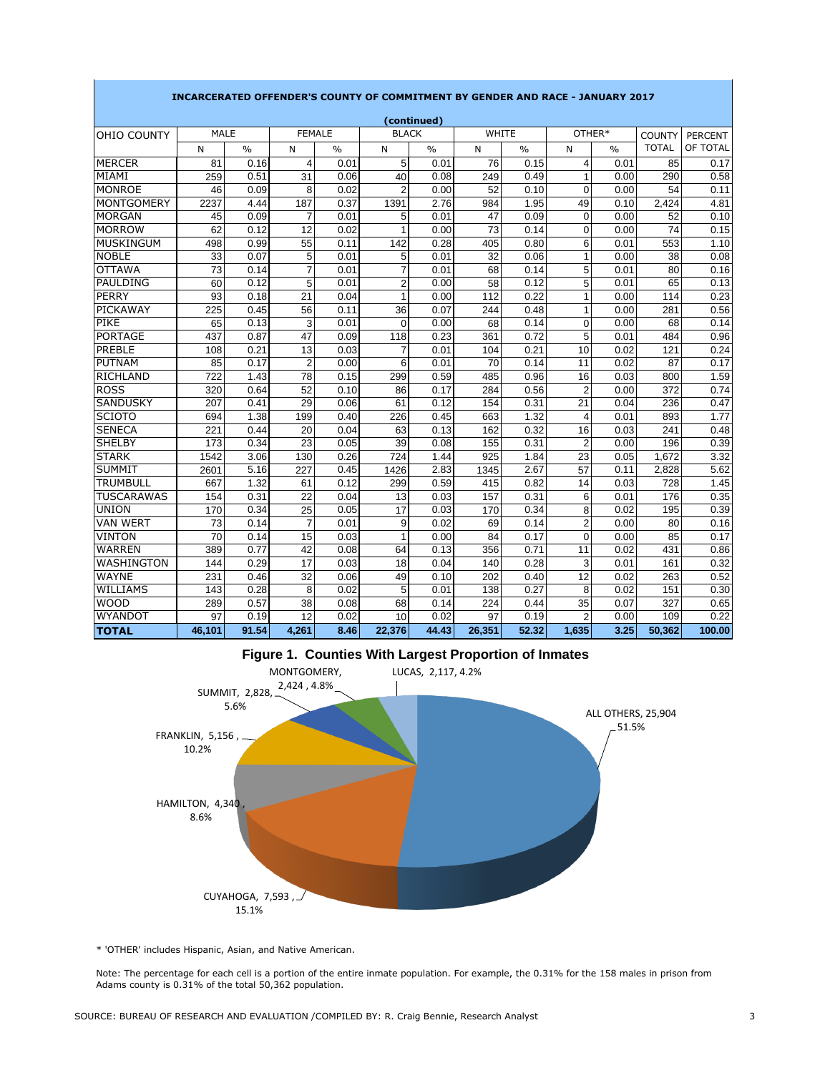|                   | (continued) |               |                |               |                |               |                 |       |                |               |                 |                |  |
|-------------------|-------------|---------------|----------------|---------------|----------------|---------------|-----------------|-------|----------------|---------------|-----------------|----------------|--|
| OHIO COUNTY       | <b>MALE</b> |               | <b>FEMALE</b>  |               | <b>BLACK</b>   |               | <b>WHITE</b>    |       |                | OTHER*        | <b>COUNTY</b>   | <b>PERCENT</b> |  |
|                   | N           | $\frac{0}{0}$ | N              | $\frac{0}{0}$ | N              | $\frac{0}{0}$ | N               | $\%$  | N              | $\frac{0}{0}$ | <b>TOTAL</b>    | OF TOTAL       |  |
| <b>MERCER</b>     | 81          | 0.16          | $\overline{4}$ | 0.01          | 5              | 0.01          | 76              | 0.15  | 4              | 0.01          | 85              | 0.17           |  |
| MIAMI             | 259         | 0.51          | 31             | 0.06          | 40             | 0.08          | 249             | 0.49  | 1              | 0.00          | 290             | 0.58           |  |
| <b>MONROE</b>     | 46          | 0.09          | 8              | 0.02          | $\overline{2}$ | 0.00          | 52              | 0.10  | $\overline{0}$ | 0.00          | 54              | 0.11           |  |
| <b>MONTGOMERY</b> | 2237        | 4.44          | 187            | 0.37          | 1391           | 2.76          | 984             | 1.95  | 49             | 0.10          | 2.424           | 4.81           |  |
| <b>MORGAN</b>     | 45          | 0.09          | $\overline{7}$ | 0.01          | 5              | 0.01          | 47              | 0.09  | $\mathbf 0$    | 0.00          | 52              | 0.10           |  |
| <b>MORROW</b>     | 62          | 0.12          | 12             | 0.02          | $\overline{1}$ | 0.00          | $\overline{73}$ | 0.14  | $\overline{0}$ | 0.00          | $\overline{74}$ | 0.15           |  |
| <b>MUSKINGUM</b>  | 498         | 0.99          | 55             | 0.11          | 142            | 0.28          | 405             | 0.80  | 6              | 0.01          | 553             | 1.10           |  |
| <b>NOBLE</b>      | 33          | 0.07          | 5              | 0.01          | 5              | 0.01          | 32              | 0.06  | 1              | 0.00          | 38              | 0.08           |  |
| <b>OTTAWA</b>     | 73          | 0.14          | $\overline{7}$ | 0.01          | $\overline{7}$ | 0.01          | 68              | 0.14  | 5              | 0.01          | 80              | 0.16           |  |
| PAULDING          | 60          | 0.12          | 5              | 0.01          | $\overline{2}$ | 0.00          | 58              | 0.12  | 5              | 0.01          | 65              | 0.13           |  |
| PERRY             | 93          | 0.18          | 21             | 0.04          | 1              | 0.00          | 112             | 0.22  | 1              | 0.00          | 114             | 0.23           |  |
| PICKAWAY          | 225         | 0.45          | 56             | 0.11          | 36             | 0.07          | 244             | 0.48  | 1              | 0.00          | 281             | 0.56           |  |
| PIKE              | 65          | 0.13          | 3              | 0.01          | $\Omega$       | 0.00          | 68              | 0.14  | $\overline{0}$ | 0.00          | 68              | 0.14           |  |
| <b>PORTAGE</b>    | 437         | 0.87          | 47             | 0.09          | 118            | 0.23          | 361             | 0.72  | $\overline{5}$ | 0.01          | 484             | 0.96           |  |
| PREBLE            | 108         | 0.21          | 13             | 0.03          | $\overline{7}$ | 0.01          | 104             | 0.21  | 10             | 0.02          | 121             | 0.24           |  |
| <b>PUTNAM</b>     | 85          | 0.17          | $\overline{2}$ | 0.00          | 6              | 0.01          | 70              | 0.14  | 11             | 0.02          | 87              | 0.17           |  |
| <b>RICHLAND</b>   | 722         | 1.43          | 78             | 0.15          | 299            | 0.59          | 485             | 0.96  | 16             | 0.03          | 800             | 1.59           |  |
| <b>ROSS</b>       | 320         | 0.64          | 52             | 0.10          | 86             | 0.17          | 284             | 0.56  | $\overline{2}$ | 0.00          | 372             | 0.74           |  |
| SANDUSKY          | 207         | 0.41          | 29             | 0.06          | 61             | 0.12          | 154             | 0.31  | 21             | 0.04          | 236             | 0.47           |  |
| <b>SCIOTO</b>     | 694         | 1.38          | 199            | 0.40          | 226            | 0.45          | 663             | 1.32  | 4              | 0.01          | 893             | 1.77           |  |
| <b>SENECA</b>     | 221         | 0.44          | 20             | 0.04          | 63             | 0.13          | 162             | 0.32  | 16             | 0.03          | 241             | 0.48           |  |
| <b>SHELBY</b>     | 173         | 0.34          | 23             | 0.05          | 39             | 0.08          | 155             | 0.31  | $\overline{2}$ | 0.00          | 196             | 0.39           |  |
| <b>STARK</b>      | 1542        | 3.06          | 130            | 0.26          | 724            | 1.44          | 925             | 1.84  | 23             | 0.05          | 1.672           | 3.32           |  |
| <b>SUMMIT</b>     | 2601        | 5.16          | 227            | 0.45          | 1426           | 2.83          | 1345            | 2.67  | 57             | 0.11          | 2,828           | 5.62           |  |
| <b>TRUMBULL</b>   | 667         | 1.32          | 61             | 0.12          | 299            | 0.59          | 415             | 0.82  | 14             | 0.03          | 728             | 1.45           |  |
| <b>TUSCARAWAS</b> | 154         | 0.31          | 22             | 0.04          | 13             | 0.03          | 157             | 0.31  | 6              | 0.01          | 176             | 0.35           |  |
| <b>UNION</b>      | 170         | 0.34          | 25             | 0.05          | 17             | 0.03          | 170             | 0.34  | 8              | 0.02          | 195             | 0.39           |  |
| <b>VAN WERT</b>   | 73          | 0.14          | $\overline{7}$ | 0.01          | 9              | 0.02          | 69              | 0.14  | $\overline{2}$ | 0.00          | 80              | 0.16           |  |
| <b>VINTON</b>     | 70          | 0.14          | 15             | 0.03          | 1              | 0.00          | 84              | 0.17  | $\Omega$       | 0.00          | 85              | 0.17           |  |
| <b>WARREN</b>     | 389         | 0.77          | 42             | 0.08          | 64             | 0.13          | 356             | 0.71  | 11             | 0.02          | 431             | 0.86           |  |
| WASHINGTON        | 144         | 0.29          | 17             | 0.03          | 18             | 0.04          | 140             | 0.28  | 3              | 0.01          | 161             | 0.32           |  |
| <b>WAYNE</b>      | 231         | 0.46          | 32             | 0.06          | 49             | 0.10          | 202             | 0.40  | 12             | 0.02          | 263             | 0.52           |  |
| WILLIAMS          | 143         | 0.28          | 8              | 0.02          | 5              | 0.01          | 138             | 0.27  | 8              | 0.02          | 151             | 0.30           |  |
| <b>WOOD</b>       | 289         | 0.57          | 38             | 0.08          | 68             | 0.14          | 224             | 0.44  | 35             | 0.07          | 327             | 0.65           |  |
| WYANDOT           | 97          | 0.19          | 12             | 0.02          | 10             | 0.02          | 97              | 0.19  | $\overline{2}$ | 0.00          | 109             | 0.22           |  |
| <b>TOTAL</b>      | 46.101      | 91.54         | 4.261          | 8.46          | 22.376         | 44.43         | 26.351          | 52.32 | 1.635          | 3.25          | 50.362          | 100.00         |  |

## **INCARCERATED OFFENDER'S COUNTY OF COMMITMENT BY GENDER AND RACE - JANUARY 2017**



\* 'OTHER' includes Hispanic, Asian, and Native American.

Note: The percentage for each cell is a portion of the entire inmate population. For example, the 0.31% for the 158 males in prison from Adams county is 0.31% of the total 50,362 population.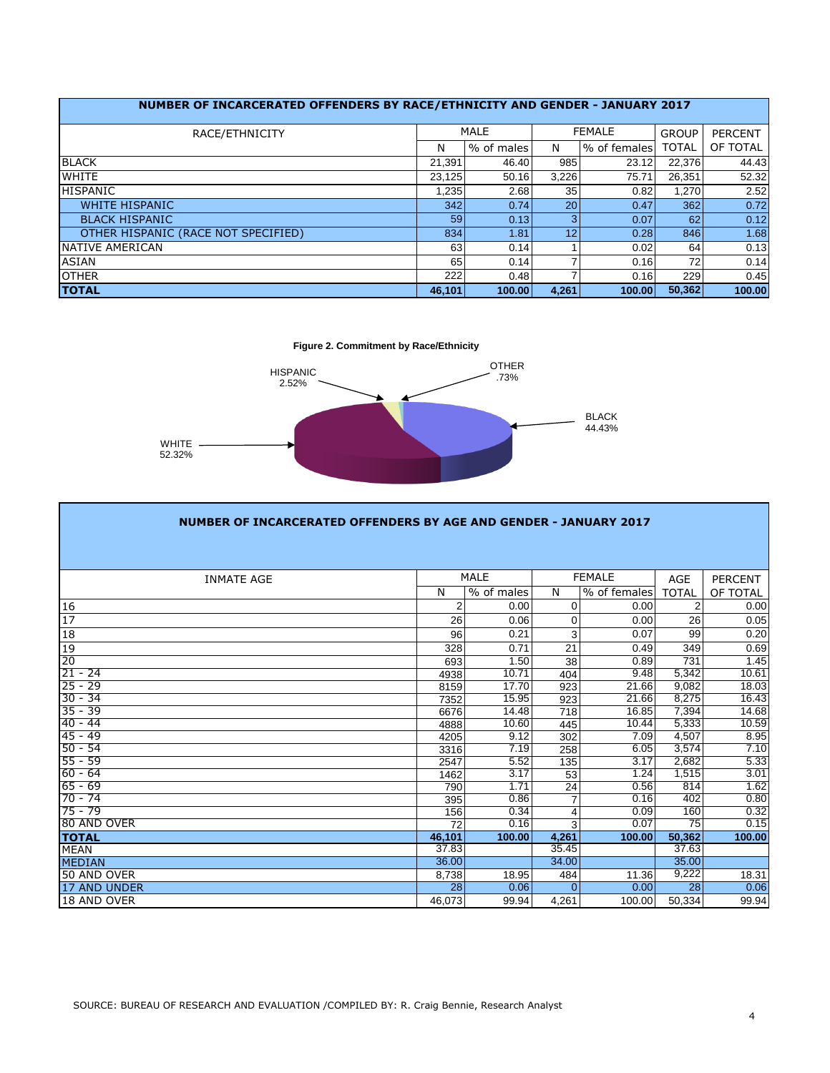|                                     | NUMBER OF INCARCERATED OFFENDERS BY RACE/ETHNICITY AND GENDER - JANUARY 2017 |            |                 |               |              |                |  |  |  |  |  |  |  |  |  |
|-------------------------------------|------------------------------------------------------------------------------|------------|-----------------|---------------|--------------|----------------|--|--|--|--|--|--|--|--|--|
| RACE/ETHNICITY                      |                                                                              | MALE       |                 | <b>FEMALE</b> | <b>GROUP</b> | <b>PERCENT</b> |  |  |  |  |  |  |  |  |  |
|                                     | N                                                                            | % of males | N               | % of females  | TOTAL        | OF TOTAL       |  |  |  |  |  |  |  |  |  |
| <b>BLACK</b>                        | 21.391                                                                       | 46.40      | 985             | 23.12         | 22,376       | 44.43          |  |  |  |  |  |  |  |  |  |
| <b>WHITE</b>                        | 23.125                                                                       | 50.16      | 3,226           | 75.71         | 26,351       | 52.32          |  |  |  |  |  |  |  |  |  |
| <b>HISPANIC</b>                     | 1.235                                                                        | 2.68       | 35              | 0.82          | 1.270        | 2.52           |  |  |  |  |  |  |  |  |  |
| <b>WHITE HISPANIC</b>               | 342                                                                          | 0.74       | 20 <sup>1</sup> | 0.47          | 362          | 0.72           |  |  |  |  |  |  |  |  |  |
| <b>BLACK HISPANIC</b>               | 59                                                                           | 0.13       | 3               | 0.07          | 62           | 0.12           |  |  |  |  |  |  |  |  |  |
| OTHER HISPANIC (RACE NOT SPECIFIED) | 834                                                                          | 1.81       | 12              | 0.28          | 846          | 1.68           |  |  |  |  |  |  |  |  |  |
| NATIVE AMERICAN                     | 63                                                                           | 0.14       |                 | 0.02          | 64           | 0.13           |  |  |  |  |  |  |  |  |  |
| <b>ASIAN</b>                        | 65                                                                           | 0.14       |                 | 0.16          | 72           | 0.14           |  |  |  |  |  |  |  |  |  |
| <b>OTHER</b>                        | 222                                                                          | 0.48       |                 | 0.16          | 229          | 0.45           |  |  |  |  |  |  |  |  |  |
| <b>TOTAL</b>                        | 46.101                                                                       | 100.00     | 4,261           | 100.00        | 50.362       | 100.00         |  |  |  |  |  |  |  |  |  |

**Figure 2. Commitment by Race/Ethnicity**



**I** 

| NUMBER OF INCARCERATED OFFENDERS BY AGE AND GENDER - JANUARY 2017 |                |             |                |               |                 |                |  |  |  |  |  |  |  |
|-------------------------------------------------------------------|----------------|-------------|----------------|---------------|-----------------|----------------|--|--|--|--|--|--|--|
|                                                                   |                |             |                |               |                 |                |  |  |  |  |  |  |  |
| <b>INMATE AGE</b>                                                 |                | <b>MALE</b> |                | <b>FEMALE</b> | <b>AGE</b>      | <b>PERCENT</b> |  |  |  |  |  |  |  |
|                                                                   | N              | % of males  | N              | % of females  | <b>TOTAL</b>    | OF TOTAL       |  |  |  |  |  |  |  |
| 16                                                                | $\overline{2}$ | 0.00        | 0              | 0.00          | $\overline{2}$  | 0.00           |  |  |  |  |  |  |  |
| 17                                                                | 26             | 0.06        | 0              | 0.00          | 26              | 0.05           |  |  |  |  |  |  |  |
| 18                                                                | 96             | 0.21        | 3              | 0.07          | 99              | 0.20           |  |  |  |  |  |  |  |
| 19                                                                | 328            | 0.71        | 21             | 0.49          | 349             | 0.69           |  |  |  |  |  |  |  |
| 20                                                                | 693            | 1.50        | 38             | 0.89          | 731             | 1.45           |  |  |  |  |  |  |  |
| $21 - 24$                                                         | 4938           | 10.71       | 404            | 9.48          | 5,342           | 10.61          |  |  |  |  |  |  |  |
| $25 - 29$                                                         | 8159           | 17.70       | 923            | 21.66         | 9,082           | 18.03          |  |  |  |  |  |  |  |
| $30 - 34$                                                         | 7352           | 15.95       | 923            | 21.66         | 8,275           | 16.43          |  |  |  |  |  |  |  |
| $35 - 39$                                                         | 6676           | 14.48       | 718            | 16.85         | 7,394           | 14.68          |  |  |  |  |  |  |  |
| $40 - 44$                                                         | 4888           | 10.60       | 445            | 10.44         | 5,333           | 10.59          |  |  |  |  |  |  |  |
| $45 - 49$                                                         | 4205           | 9.12        | 302            | 7.09          | 4.507           | 8.95           |  |  |  |  |  |  |  |
| $50 - 54$                                                         | 3316           | 7.19        | 258            | 6.05          | 3,574           | 7.10           |  |  |  |  |  |  |  |
| $55 - 59$                                                         | 2547           | 5.52        | 135            | 3.17          | 2,682           | 5.33           |  |  |  |  |  |  |  |
| $60 - 64$                                                         | 1462           | 3.17        | 53             | 1.24          | 1,515           | 3.01           |  |  |  |  |  |  |  |
| $65 - 69$                                                         | 790            | 1.71        | 24             | 0.56          | 814             | 1.62           |  |  |  |  |  |  |  |
| $70 - 74$                                                         | 395            | 0.86        | $\overline{7}$ | 0.16          | 402             | 0.80           |  |  |  |  |  |  |  |
| $75 - 79$                                                         | 156            | 0.34        | 4              | 0.09          | 160             | 0.32           |  |  |  |  |  |  |  |
| 80 AND OVER                                                       | 72             | 0.16        | $\overline{3}$ | 0.07          | $\overline{75}$ | 0.15           |  |  |  |  |  |  |  |
| <b>TOTAL</b>                                                      | 46,101         | 100.00      | 4,261          | 100.00        | 50.362          | 100.00         |  |  |  |  |  |  |  |
| <b>MEAN</b>                                                       | 37.83          |             | 35.45          |               | 37.63           |                |  |  |  |  |  |  |  |
| <b>MEDIAN</b>                                                     | 36.00          |             | 34.00          |               | 35.00           |                |  |  |  |  |  |  |  |
| 50 AND OVER                                                       | 8,738          | 18.95       | 484            | 11.36         | 9,222           | 18.31          |  |  |  |  |  |  |  |
| 17 AND UNDER                                                      | 28             | 0.06        | $\Omega$       | 0.00          | 28              | 0.06           |  |  |  |  |  |  |  |
| 18 AND OVER                                                       | 46.073         | 99.94       | 4,261          | 100.00        | 50,334          | 99.94          |  |  |  |  |  |  |  |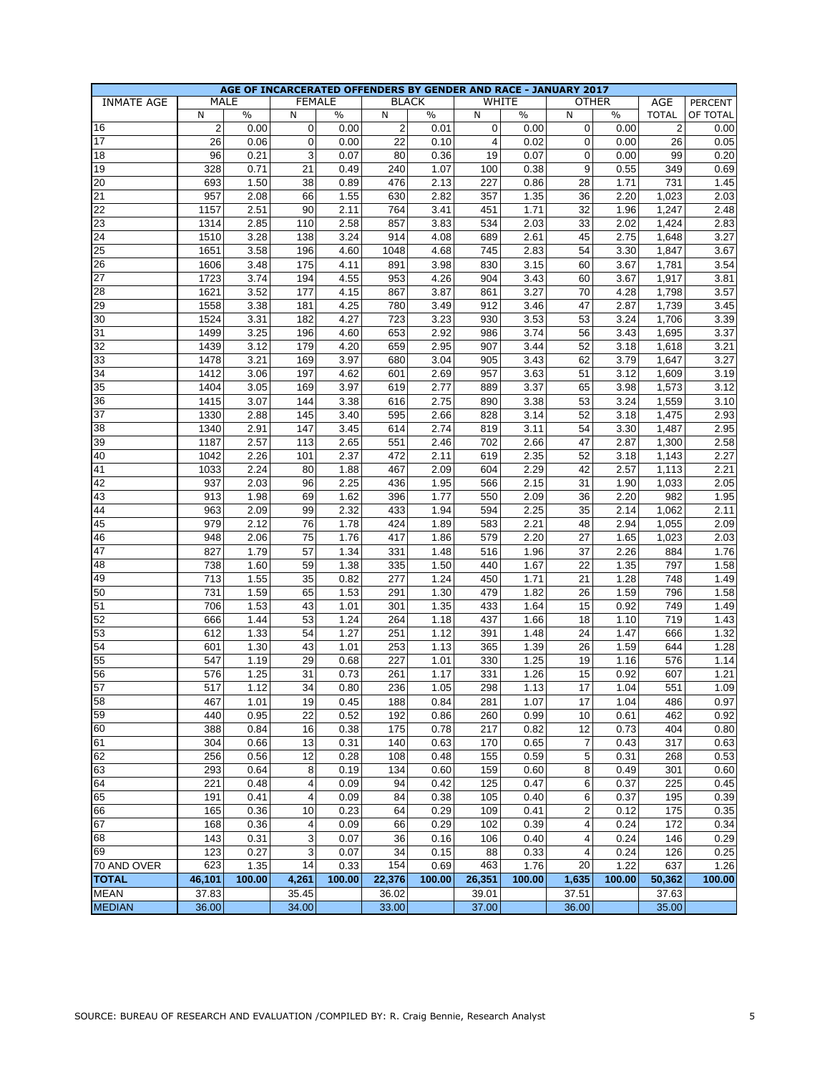|                   |                |              | AGE OF INCARCERATED OFFENDERS BY GENDER AND RACE - JANUARY 2017 |        |                |              |                |        |                         |              |                |                |
|-------------------|----------------|--------------|-----------------------------------------------------------------|--------|----------------|--------------|----------------|--------|-------------------------|--------------|----------------|----------------|
| <b>INMATE AGE</b> |                | MALE         | <b>FEMALE</b>                                                   |        |                | <b>BLACK</b> |                | WHITE  |                         | <b>OTHER</b> | AGE            | <b>PERCENT</b> |
|                   | N              | $\%$         | N                                                               | $\%$   | N              | $\%$         | N              | $\%$   | N                       | $\%$         | <b>TOTAL</b>   | OF TOTAL       |
| 16                | $\overline{2}$ | 0.00         | 0                                                               | 0.00   | $\overline{2}$ | 0.01         | $\mathbf 0$    | 0.00   | 0                       | 0.00         | $\overline{2}$ | 0.00           |
| 17                | 26             | 0.06         | $\mathbf 0$                                                     | 0.00   | 22             | 0.10         | $\overline{4}$ | 0.02   | $\mathbf 0$             | 0.00         | 26             | 0.05           |
| 18                | 96             | 0.21         | 3                                                               | 0.07   | 80             | 0.36         | 19             | 0.07   | $\mathbf 0$             | 0.00         | 99             | 0.20           |
| 19                | 328            | 0.71         | 21                                                              | 0.49   | 240            | 1.07         | 100            | 0.38   | 9                       | 0.55         | 349            | 0.69           |
| 20                | 693            | 1.50         | 38                                                              | 0.89   | 476            | 2.13         | 227            | 0.86   | 28                      | 1.71         | 731            | 1.45           |
| 21                | 957            | 2.08         | 66                                                              | 1.55   | 630            | 2.82         | 357            | 1.35   | 36                      | 2.20         | 1,023          | 2.03           |
| 22                | 1157           | 2.51         | 90                                                              | 2.11   | 764            | 3.41         | 451            | 1.71   | 32                      | 1.96         | 1,247          | 2.48           |
| 23                | 1314           | 2.85         | 110                                                             | 2.58   | 857            | 3.83         | 534            | 2.03   | 33                      | 2.02         | 1,424          | 2.83           |
| 24                | 1510           | 3.28         | 138                                                             | 3.24   | 914            | 4.08         | 689            | 2.61   | 45                      | 2.75         | 1,648          | 3.27           |
| 25                | 1651           | 3.58         | 196                                                             | 4.60   | 1048           | 4.68         | 745            | 2.83   | 54                      | 3.30         | 1,847          | 3.67           |
| 26                | 1606           | 3.48         | 175                                                             | 4.11   | 891            | 3.98         | 830            | 3.15   | 60                      | 3.67         | 1,781          | 3.54           |
| 27                | 1723           | 3.74         | 194                                                             | 4.55   | 953            | 4.26         | 904            | 3.43   | 60                      | 3.67         | 1,917          | 3.81           |
| 28                | 1621           | 3.52         | 177                                                             | 4.15   | 867            | 3.87         | 861            | 3.27   | 70                      | 4.28         | 1,798          | 3.57           |
| 29                | 1558           | 3.38         | 181                                                             | 4.25   | 780            | 3.49         | 912            | 3.46   | 47                      | 2.87         | 1,739          | 3.45           |
| 30                | 1524           | 3.31         | 182                                                             | 4.27   | 723            | 3.23         | 930            | 3.53   | 53                      | 3.24         | 1,706          | 3.39           |
| 31                | 1499           | 3.25         | 196                                                             | 4.60   | 653            | 2.92         | 986            | 3.74   | 56                      | 3.43         | 1,695          | 3.37           |
| 32                | 1439           | 3.12         | 179                                                             | 4.20   | 659            | 2.95         | 907            | 3.44   | 52                      | 3.18         | 1,618          | 3.21           |
| 33                | 1478           | 3.21         | 169                                                             | 3.97   | 680            | 3.04         | 905            | 3.43   | 62                      | 3.79         | 1,647          | 3.27           |
| 34                | 1412           | 3.06         | 197                                                             | 4.62   | 601            | 2.69         | 957            | 3.63   | 51                      | 3.12         | 1,609          | 3.19           |
| 35                | 1404           | 3.05         | 169                                                             | 3.97   | 619            | 2.77         | 889            | 3.37   | 65                      | 3.98         | 1,573          | 3.12           |
| 36                | 1415           | 3.07         | 144                                                             | 3.38   | 616            | 2.75         | 890            | 3.38   | 53                      | 3.24         | 1,559          | 3.10           |
| 37                | 1330           | 2.88         | 145                                                             | 3.40   | 595            | 2.66         | 828            | 3.14   | 52                      | 3.18         | 1,475          | 2.93           |
| 38                | 1340           | 2.91         | 147                                                             | 3.45   | 614            | 2.74         | 819            | 3.11   | 54                      | 3.30         | 1,487          | 2.95           |
| 39                | 1187           | 2.57         | 113                                                             | 2.65   | 551            | 2.46         | 702            | 2.66   | 47                      | 2.87         | 1,300          | 2.58           |
| 40                | 1042           | 2.26         | 101                                                             | 2.37   | 472            | 2.11         | 619            | 2.35   | 52                      | 3.18         | 1,143          | 2.27           |
| 41                |                | 2.24         | 80                                                              |        | 467            |              |                | 2.29   | 42                      |              | 1,113          | 2.21           |
|                   | 1033           |              |                                                                 | 1.88   |                | 2.09         | 604            |        |                         | 2.57         |                |                |
| 42                | 937            | 2.03         | 96                                                              | 2.25   | 436            | 1.95         | 566            | 2.15   | 31                      | 1.90         | 1,033          | 2.05           |
| 43                | 913            | 1.98<br>2.09 | 69                                                              | 1.62   | 396            | 1.77         | 550            | 2.09   | 36                      | 2.20         | 982            | 1.95           |
| 44                | 963            | 2.12         | 99                                                              | 2.32   | 433            | 1.94         | 594            | 2.25   | 35                      | 2.14         | 1,062          | 2.11           |
| 45                | 979            |              | 76                                                              | 1.78   | 424            | 1.89         | 583            | 2.21   | 48                      | 2.94         | 1,055          | 2.09           |
| 46<br>47          | 948            | 2.06         | 75                                                              | 1.76   | 417            | 1.86         | 579            | 2.20   | 27                      | 1.65         | 1,023          | 2.03           |
|                   | 827            | 1.79         | 57                                                              | 1.34   | 331            | 1.48         | 516            | 1.96   | 37                      | 2.26         | 884            | 1.76           |
| 48                | 738            | 1.60         | 59                                                              | 1.38   | 335            | 1.50         | 440            | 1.67   | 22                      | 1.35         | 797            | 1.58           |
| 49                | 713            | 1.55         | 35                                                              | 0.82   | 277            | 1.24         | 450            | 1.71   | 21                      | 1.28         | 748            | 1.49           |
| 50                | 731            | 1.59         | 65                                                              | 1.53   | 291            | 1.30         | 479            | 1.82   | 26                      | 1.59         | 796            | 1.58           |
| 51                | 706            | 1.53         | 43                                                              | 1.01   | 301            | 1.35         | 433            | 1.64   | 15                      | 0.92         | 749            | 1.49           |
| 52                | 666            | 1.44         | 53                                                              | 1.24   | 264            | 1.18         | 437            | 1.66   | 18                      | 1.10         | 719            | 1.43           |
| 53                | 612            | 1.33         | 54                                                              | 1.27   | 251            | 1.12         | 391            | 1.48   | 24                      | 1.47         | 666            | 1.32           |
| 54                | 601            | 1.30         | 43                                                              | 1.01   | 253            | 1.13         | 365            | 1.39   | 26                      | 1.59         | 644            | 1.28           |
| 55                | 547            | 1.19         | 29                                                              | 0.68   | 227            | 1.01         | 330            | 1.25   | 19                      | 1.16         | 576            | 1.14           |
| 56                | 576            | 1.25         | 31                                                              | 0.73   | 261            | 1.17         | 331            | 1.26   | 15                      | 0.92         | 607            | 1.21           |
| 57                | 517            | 1.12         | $\overline{34}$                                                 | 0.80   | 236            | 1.05         | 298            | 1.13   | $17$                    | 1.04         | 551            | 1.09           |
| $\overline{58}$   | 467            | 1.01         | 19                                                              | 0.45   | 188            | 0.84         | 281            | 1.07   | 17                      | 1.04         | 486            | 0.97           |
| 59                | 440            | 0.95         | 22                                                              | 0.52   | 192            | 0.86         | 260            | 0.99   | 10                      | 0.61         | 462            | 0.92           |
| 60                | 388            | 0.84         | 16                                                              | 0.38   | 175            | 0.78         | 217            | 0.82   | 12                      | 0.73         | 404            | 0.80           |
| 61                | 304            | 0.66         | 13                                                              | 0.31   | 140            | 0.63         | 170            | 0.65   | 7                       | 0.43         | 317            | 0.63           |
| 62                | 256            | 0.56         | 12                                                              | 0.28   | 108            | 0.48         | 155            | 0.59   | 5                       | 0.31         | 268            | 0.53           |
| 63                | 293            | 0.64         | 8                                                               | 0.19   | 134            | 0.60         | 159            | 0.60   | 8                       | 0.49         | 301            | 0.60           |
| 64                | 221            | 0.48         | 4                                                               | 0.09   | 94             | 0.42         | 125            | 0.47   | 6                       | 0.37         | 225            | 0.45           |
| 65                | 191            | 0.41         | 4                                                               | 0.09   | 84             | 0.38         | 105            | 0.40   | 6                       | 0.37         | 195            | 0.39           |
| 66                | 165            | 0.36         | 10                                                              | 0.23   | 64             | 0.29         | 109            | 0.41   | $\overline{\mathbf{c}}$ | 0.12         | 175            | 0.35           |
| 67                | 168            | 0.36         | 4                                                               | 0.09   | 66             | 0.29         | 102            | 0.39   | 4                       | 0.24         | 172            | 0.34           |
| 68                | 143            | 0.31         | 3                                                               | 0.07   | 36             | 0.16         | 106            | 0.40   | 4                       | 0.24         | 146            | 0.29           |
| 69                | 123            | 0.27         | 3                                                               | 0.07   | 34             | 0.15         | 88             | 0.33   | 4                       | 0.24         | 126            | 0.25           |
| 70 AND OVER       | 623            | 1.35         | 14                                                              | 0.33   | 154            | 0.69         | 463            | 1.76   | 20                      | 1.22         | 637            | 1.26           |
| <b>TOTAL</b>      | 46,101         | 100.00       | 4,261                                                           | 100.00 | 22,376         | 100.00       | 26,351         | 100.00 | 1,635                   | 100.00       | 50,362         | 100.00         |
| <b>MEAN</b>       | 37.83          |              | 35.45                                                           |        | 36.02          |              | 39.01          |        | 37.51                   |              | 37.63          |                |
| <b>MEDIAN</b>     | 36.00          |              | 34.00                                                           |        | 33.00          |              | 37.00          |        | 36.00                   |              | 35.00          |                |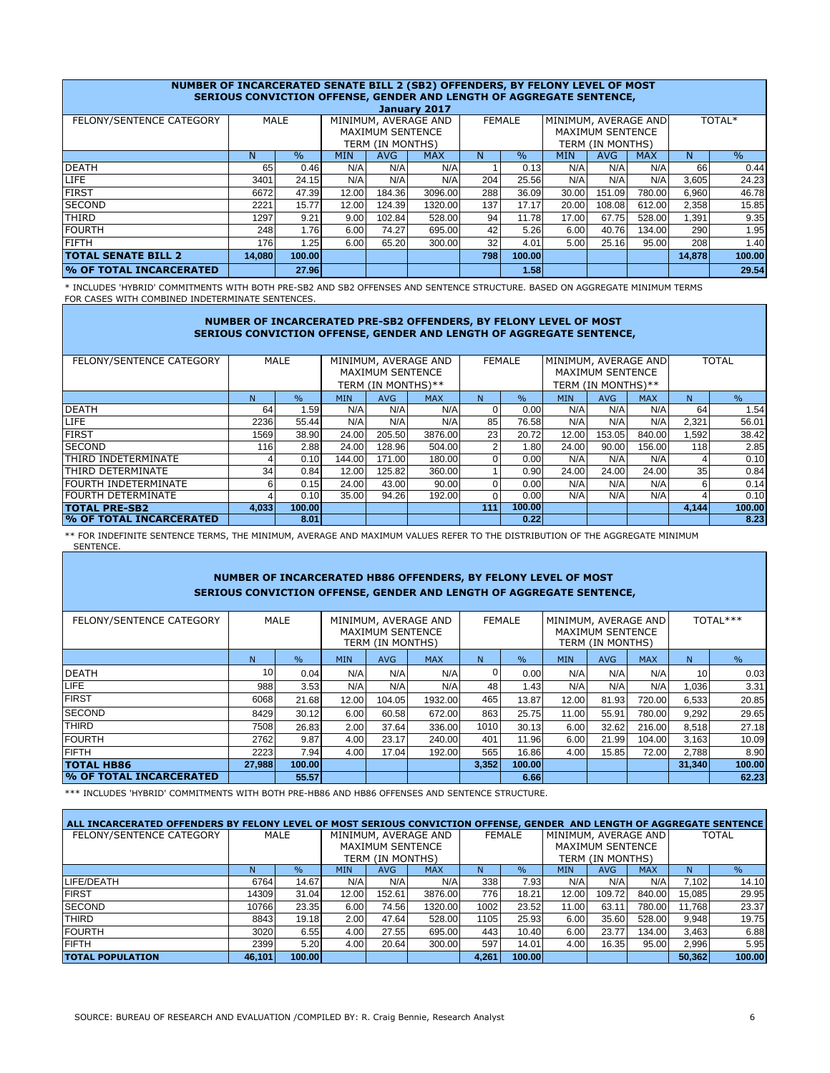|                                                                                                          | NUMBER OF INCARCERATED SENATE BILL 2 (SB2) OFFENDERS, BY FELONY LEVEL OF MOST<br><b>SERIOUS CONVICTION OFFENSE, GENDER AND LENGTH OF AGGREGATE SENTENCE,</b> |        |            |                         |            |     |               |            |                         |            |        |        |  |  |  |
|----------------------------------------------------------------------------------------------------------|--------------------------------------------------------------------------------------------------------------------------------------------------------------|--------|------------|-------------------------|------------|-----|---------------|------------|-------------------------|------------|--------|--------|--|--|--|
|                                                                                                          | January 2017                                                                                                                                                 |        |            |                         |            |     |               |            |                         |            |        |        |  |  |  |
| MINIMUM, AVERAGE AND<br><b>MALE</b><br>MINIMUM, AVERAGE AND<br><b>FEMALE</b><br>FELONY/SENTENCE CATEGORY |                                                                                                                                                              |        |            |                         |            |     |               |            |                         |            |        | TOTAL* |  |  |  |
|                                                                                                          |                                                                                                                                                              |        |            | <b>MAXIMUM SENTENCE</b> |            |     |               |            | <b>MAXIMUM SENTENCE</b> |            |        |        |  |  |  |
|                                                                                                          |                                                                                                                                                              |        |            | TERM (IN MONTHS)        |            |     |               |            | TERM (IN MONTHS)        |            |        |        |  |  |  |
|                                                                                                          | N                                                                                                                                                            | $\%$   | <b>MIN</b> | <b>AVG</b>              | <b>MAX</b> | N   | $\frac{0}{0}$ | <b>MIN</b> | <b>AVG</b>              | <b>MAX</b> | N      | $\%$   |  |  |  |
| <b>DEATH</b>                                                                                             | 65                                                                                                                                                           | 0.46   | N/A        | N/A                     | N/A        |     | 0.13          | N/A        | N/A                     | N/A        | 66     | 0.44   |  |  |  |
| <b>LIFE</b>                                                                                              | 3401                                                                                                                                                         | 24.15  | N/A        | N/A                     | N/A        | 204 | 25.56         | N/A        | N/A                     | N/A        | 3,605  | 24.23  |  |  |  |
| <b>FIRST</b>                                                                                             | 6672                                                                                                                                                         | 47.39  | 12.00      | 184.36                  | 3096.00    | 288 | 36.09         | 30.00      | 151.09                  | 780.00     | 6,960  | 46.78  |  |  |  |
| <b>SECOND</b>                                                                                            | 2221                                                                                                                                                         | 15.77  | 12.00      | 124.39                  | 1320.00    | 137 | 17.17         | 20.00      | 108.08                  | 612.00     | 2,358  | 15.85  |  |  |  |
| <b>THIRD</b>                                                                                             | 1297                                                                                                                                                         | 9.21   | 9.00       | 102.84                  | 528.00     | 94  | 11.78         | 17.00      | 67.75                   | 528.00     | 1,391  | 9.35   |  |  |  |
| <b>FOURTH</b>                                                                                            | 248                                                                                                                                                          | 1.76   | 6.00       | 74.27                   | 695.00     | 42  | 5.26          | 6.00       | 40.76                   | 134.00     | 290    | 1.95   |  |  |  |
| <b>FIFTH</b>                                                                                             | 176                                                                                                                                                          | 1.25   | 6.00       | 65.20                   | 300.00     | 32  | 4.01          | 5.00       | 25.16                   | 95.00      | 208    | 1.40   |  |  |  |
| <b>TOTAL SENATE BILL 2</b>                                                                               | 14.080                                                                                                                                                       | 100.00 |            |                         |            | 798 | 100.00        |            |                         |            | 14.878 | 100.00 |  |  |  |
| % OF TOTAL INCARCERATED                                                                                  |                                                                                                                                                              | 27.96  |            |                         |            |     | 1.58          |            |                         |            |        | 29.54  |  |  |  |

\* INCLUDES 'HYBRID' COMMITMENTS WITH BOTH PRE-SB2 AND SB2 OFFENSES AND SENTENCE STRUCTURE. BASED ON AGGREGATE MINIMUM TERMS FOR CASES WITH COMBINED INDETERMINATE SENTENCES.

### **NUMBER OF INCARCERATED PRE-SB2 OFFENDERS, BY FELONY LEVEL OF MOST SERIOUS CONVICTION OFFENSE, GENDER AND LENGTH OF AGGREGATE SENTENCE,**

| FELONY/SENTENCE CATEGORY       |       | MALE          |                                        |                         | MINIMUM, AVERAGE AND |     | <b>FEMALE</b> | MINIMUM, AVERAGE AND |                         |            | <b>TOTAL</b>    |               |  |  |
|--------------------------------|-------|---------------|----------------------------------------|-------------------------|----------------------|-----|---------------|----------------------|-------------------------|------------|-----------------|---------------|--|--|
|                                |       |               |                                        | <b>MAXIMUM SENTENCE</b> |                      |     |               |                      | <b>MAXIMUM SENTENCE</b> |            |                 |               |  |  |
|                                |       |               |                                        | TERM (IN MONTHS)**      |                      |     |               |                      | TERM (IN MONTHS)**      |            |                 |               |  |  |
|                                | N     | $\frac{9}{6}$ | <b>MAX</b><br><b>MIN</b><br><b>AVG</b> |                         |                      | N   | $\frac{0}{0}$ | <b>MIN</b>           | <b>AVG</b>              | <b>MAX</b> | N               | $\frac{0}{0}$ |  |  |
| <b>DEATH</b>                   | 64    | 1.59          | N/A                                    | N/A                     | N/A                  |     | 0.00          | N/A                  | N/A                     | N/A        | 64              | 1.54          |  |  |
| <b>LIFE</b>                    | 2236  | 55.44         | N/A                                    | N/A                     | N/A                  | 85  | 76.58         | N/A                  | N/A                     | N/A        | 2,321           | 56.01         |  |  |
| <b>FIRST</b>                   | 1569  | 38.90         | 24.00                                  | 205.50                  | 3876.00              | 23  | 20.72         | 12.00                | 153.05                  | 840.00     | ا592. ا         | 38.42         |  |  |
| <b>SECOND</b>                  | 116   | 2.88          | 24.00                                  | 128.96                  | 504.00               | 2   | 1.80          | 24.00                | 90.00                   | 156.00     | <b>118</b>      | 2.85          |  |  |
| ITHIRD INDETERMINATE           |       | 0.10          | 144.00                                 | 171.00                  | 180.00               |     | 0.00          | N/A                  | N/A                     | N/A        |                 | 0.10          |  |  |
| <b>THIRD DETERMINATE</b>       | 34    | 0.84          | 12.00                                  | 125.82                  | 360.00               |     | 0.90          | 24.00                | 24.00                   | 24.00      | 35 <sub>1</sub> | 0.84          |  |  |
| <b>FOURTH INDETERMINATE</b>    | 6     | 0.15          | 24.00                                  | 43.00                   | 90.00                |     | 0.00          | N/A                  | N/A                     | N/A        | 6               | 0.14          |  |  |
| <b>FOURTH DETERMINATE</b>      |       | 0.10          | 35.00                                  | 94.26                   | 192.00               |     | 0.00          | N/A                  | N/A                     | N/A        |                 | 0.10          |  |  |
| <b>TOTAL PRE-SB2</b>           | 4.033 | 100.00        |                                        |                         |                      | 111 | 100.00        |                      |                         |            | 4.144           | 100.00        |  |  |
| <b>W OF TOTAL INCARCERATED</b> |       | 8.01          |                                        |                         |                      |     | 0.22          |                      |                         |            |                 | 8.23          |  |  |

\*\* FOR INDEFINITE SENTENCE TERMS, THE MINIMUM, AVERAGE AND MAXIMUM VALUES REFER TO THE DISTRIBUTION OF THE AGGREGATE MINIMUM SENTENCE.

# **NUMBER OF INCARCERATED HB86 OFFENDERS, BY FELONY LEVEL OF MOST SERIOUS CONVICTION OFFENSE, GENDER AND LENGTH OF AGGREGATE SENTENCE,**

| FELONY/SENTENCE CATEGORY        |                 | MALE          |                                                              | <b>MAXIMUM SENTENCE</b><br>TERM (IN MONTHS) | MINIMUM, AVERAGE AND |       | <b>FEMALE</b> |            | MINIMUM, AVERAGE AND<br><b>MAXIMUM SENTENCE</b><br>TERM (IN MONTHS) |        |                 | TOTAL*** |  |  |
|---------------------------------|-----------------|---------------|--------------------------------------------------------------|---------------------------------------------|----------------------|-------|---------------|------------|---------------------------------------------------------------------|--------|-----------------|----------|--|--|
|                                 | N.              | $\frac{9}{6}$ | $\frac{0}{0}$<br><b>AVG</b><br><b>MAX</b><br><b>MIN</b><br>N |                                             |                      |       | <b>MIN</b>    | <b>AVG</b> | <b>MAX</b>                                                          | N      | $\%$            |          |  |  |
| <b>DEATH</b>                    | 10 <sub>1</sub> | 0.04          | N/A                                                          | N/A                                         | N/A                  |       | 0.00          | N/A        | N/A                                                                 | N/A    | 10 <sup>1</sup> | 0.03     |  |  |
| <b>LIFE</b>                     | 988             | 3.53          | N/A                                                          | N/A                                         | N/A                  | 48    | 1.43          | N/A        | N/A                                                                 | N/A    | 1,036           | 3.31     |  |  |
| <b>FIRST</b>                    | 6068            | 21.68         | 12.00                                                        | 104.05                                      | 1932.00              | 465   | 13.87         | 12.00      | 81.93                                                               | 720.00 | 6,533           | 20.85    |  |  |
| <b>SECOND</b>                   | 8429            | 30.12         | 6.00                                                         | 60.58                                       | 672.00               | 863   | 25.75         | 11.00      | 55.91                                                               | 780.00 | 9,292           | 29.65    |  |  |
| <b>THIRD</b>                    | 7508            | 26.83         | 2.00                                                         | 37.64                                       | 336.00               | 1010  | 30.13         | 6.00       | 32.62                                                               | 216.00 | 8,518           | 27.18    |  |  |
| <b>FOURTH</b>                   | 2762            | 9.87          | 4.00                                                         | 23.17                                       | 240.00               | 401   | 11.96         | 6.00       | 21.99                                                               | 104.00 | 3.163           | 10.09    |  |  |
| <b>FIFTH</b>                    | 2223            | 7.94          | 4.00                                                         | 17.04                                       | 192.00               | 565   | 16.86         | 4.00       | 15.85                                                               | 72.00  | 2.788           | 8.90     |  |  |
| <b>TOTAL HB86</b>               | 27,988          | 100.00        |                                                              |                                             |                      | 3,352 | 100.00        |            |                                                                     |        | 31.340          | 100.00   |  |  |
| <b>We OF TOTAL INCARCERATED</b> |                 | 55.57         |                                                              |                                             |                      |       | 6.66          |            |                                                                     |        |                 | 62.23    |  |  |

\*\*\* INCLUDES 'HYBRID' COMMITMENTS WITH BOTH PRE-HB86 AND HB86 OFFENSES AND SENTENCE STRUCTURE.

| ALL INCARCERATED OFFENDERS BY FELONY LEVEL OF MOST SERIOUS CONVICTION OFFENSE, GENDER AND LENGTH OF AGGREGATE SENTENCE |        |               |                         |        |            |               |               |                      |        |            |              |        |
|------------------------------------------------------------------------------------------------------------------------|--------|---------------|-------------------------|--------|------------|---------------|---------------|----------------------|--------|------------|--------------|--------|
| FELONY/SENTENCE CATEGORY                                                                                               | MALE   |               | MINIMUM, AVERAGE AND    |        |            | <b>FEMALE</b> |               | MINIMUM, AVERAGE AND |        |            | <b>TOTAL</b> |        |
|                                                                                                                        |        |               | <b>MAXIMUM SENTENCE</b> |        |            |               |               | MAXIMUM SENTENCE     |        |            |              |        |
|                                                                                                                        |        |               | TERM (IN MONTHS)        |        |            |               |               | TERM (IN MONTHS)     |        |            |              |        |
|                                                                                                                        | N      | $\frac{1}{2}$ | <b>MIN</b>              | AVG.   | <b>MAX</b> | N             | $\frac{0}{0}$ | <b>MIN</b>           | AVG.   | <b>MAX</b> | N            | $\%$   |
| LIFE/DEATH                                                                                                             | 6764   | 14.67         | N/A                     | N/A    | N/A        | 338           | 7.93          | N/A                  | N/A    | N/A        | 7.1021       | 14.10  |
| <b>IFIRST</b>                                                                                                          | 14309  | 31.04         | 12.00                   | 152.61 | 3876.00    | 776           | 18.21         | 12.00                | 109.72 | 840.00     | 15.085       | 29.95  |
| <b>SECOND</b>                                                                                                          | 10766  | 23.35         | 6.00                    | 74.56  | 1320.00    | 1002          | 23.52         | 11.00                | 63.11  | 780.00     | 11.768       | 23.37  |
| <b>THIRD</b>                                                                                                           | 8843   | 19.18         | 2.00                    | 47.64  | 528.00     | 1105          | 25.93         | 6.00                 | 35.60  | 528.00     | 9,948        | 19.75  |
| <b>FOURTH</b>                                                                                                          | 3020   | 6.55          | 4.00                    | 27.55  | 695.00     | 443           | 10.40         | 6.00                 | 23.77  | 134.00     | 3.463        | 6.88   |
| <b>FIFTH</b>                                                                                                           | 2399   | 5.20          | 4.00                    | 20.64  | 300.00     | 597           | 14.01         | 4.00                 | 16.35  | 95.00      | 2,996        | 5.95   |
| <b>TOTAL POPULATION</b>                                                                                                | 46.101 | 100.00        |                         |        |            | 4.261         | 100.00        |                      |        |            | 50,362       | 100.00 |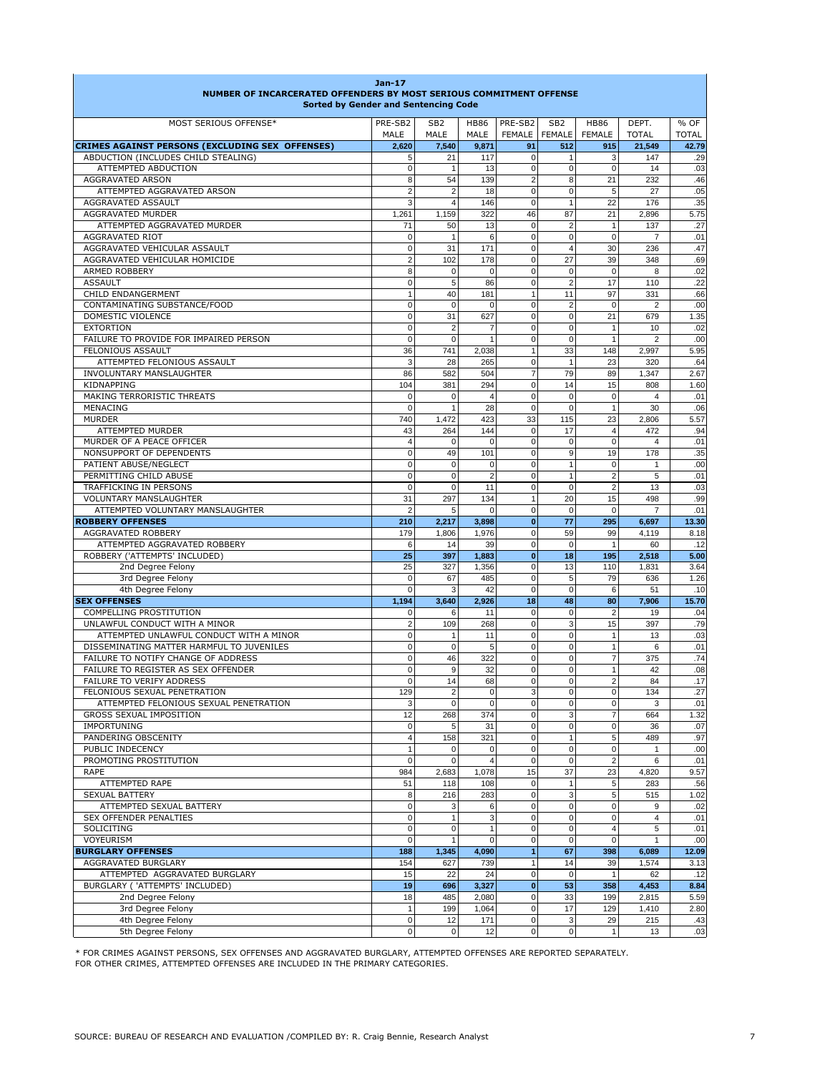| NUMBER OF INCARCERATED OFFENDERS BY MOST SERIOUS COMMITMENT OFFENSE                  | Jan-17<br><b>Sorted by Gender and Sentencing Code</b> |                         |                     |                                    |                                  |                              |                         |                      |
|--------------------------------------------------------------------------------------|-------------------------------------------------------|-------------------------|---------------------|------------------------------------|----------------------------------|------------------------------|-------------------------|----------------------|
| MOST SERIOUS OFFENSE*                                                                | PRE-SB2<br>MALE                                       | SB <sub>2</sub><br>MALE | <b>HB86</b><br>MALE | PRE-SB2<br><b>FEMALE</b>           | SB <sub>2</sub><br><b>FEMALE</b> | <b>HB86</b><br><b>FEMALE</b> | DEPT.<br><b>TOTAL</b>   | % OF<br><b>TOTAL</b> |
| CRIMES AGAINST PERSONS (EXCLUDING SEX OFFENSES)                                      | 2,620                                                 | 7,540                   | 9,871               | 91                                 | 512                              | 915                          | 21,549                  | 42.79                |
| ABDUCTION (INCLUDES CHILD STEALING)                                                  | 5                                                     | 21                      | 117                 | $\mathbf 0$                        | $\mathbf{1}$                     | 3                            | 147                     | .29                  |
| ATTEMPTED ABDUCTION                                                                  | $\mathbf 0$                                           | 1                       | 13                  | $\mathbf 0$                        | $\overline{0}$                   | 0                            | 14                      | .03                  |
| <b>AGGRAVATED ARSON</b>                                                              | 8                                                     | 54                      | 139                 | 2                                  | 8                                | 21                           | 232                     | .46                  |
| ATTEMPTED AGGRAVATED ARSON                                                           | $\overline{2}$                                        | $\overline{2}$          | 18                  | 0                                  | $\overline{0}$                   | 5                            | 27                      | .05                  |
| AGGRAVATED ASSAULT                                                                   | 3                                                     | 4                       | 146                 | $\mathbf 0$                        | $\mathbf{1}$                     | 22                           | 176                     | .35                  |
| AGGRAVATED MURDER                                                                    | 1,261                                                 | 1,159                   | 322                 | 46                                 | 87                               | 21                           | 2,896                   | 5.75                 |
| ATTEMPTED AGGRAVATED MURDER<br>AGGRAVATED RIOT                                       | 71<br>$\mathbf 0$                                     | 50<br>$\mathbf{1}$      | 13<br>6             | 0<br>0                             | $\overline{2}$<br>$\mathbf 0$    | 1<br>$\mathbf 0$             | 137<br>7                | .27<br>.01           |
| AGGRAVATED VEHICULAR ASSAULT                                                         | $\mathbf 0$                                           | 31                      | 171                 | $\mathbf 0$                        | $\overline{4}$                   | 30                           | 236                     | .47                  |
| AGGRAVATED VEHICULAR HOMICIDE                                                        | $\overline{2}$                                        | 102                     | 178                 | $\mathsf{O}\xspace$                | 27                               | 39                           | 348                     | .69                  |
| <b>ARMED ROBBERY</b>                                                                 | 8                                                     | 0                       | $\mathbf 0$         | 0                                  | $\pmb{0}$                        | $\mathbf 0$                  | 8                       | .02                  |
| <b>ASSAULT</b>                                                                       | $\mathbf 0$                                           | 5                       | 86                  | 0                                  | $\overline{2}$                   | 17                           | 110                     | .22                  |
| CHILD ENDANGERMENT                                                                   | $\overline{1}$                                        | 40                      | 181                 | $\mathbf{1}$                       | 11                               | 97                           | 331                     | .66                  |
| CONTAMINATING SUBSTANCE/FOOD                                                         | $\mathbf 0$                                           | $\mathbf 0$             | $\mathbf 0$         | $\mathbf 0$                        | $\overline{2}$                   | $\mathbf 0$                  | $\overline{2}$          | .00                  |
| DOMESTIC VIOLENCE                                                                    | $\mathbf 0$                                           | 31                      | 627                 | $\mathsf{O}\xspace$                | $\overline{0}$                   | 21                           | 679                     | 1.35                 |
| <b>EXTORTION</b>                                                                     | $\mathbf 0$                                           | $\overline{2}$          | $\overline{7}$      | 0                                  | $\overline{0}$                   | $\mathbf{1}$                 | 10                      | .02                  |
| FAILURE TO PROVIDE FOR IMPAIRED PERSON                                               | $\mathbf 0$                                           | $\mathbf 0$             | $\mathbf{1}$        | $\mathbf 0$                        | $\mathbf 0$                      |                              | $\overline{2}$          | .00                  |
| FELONIOUS ASSAULT                                                                    | 36                                                    | 741                     | 2,038               | $\mathbf{1}$                       | 33                               | 148                          | 2,997                   | 5.95                 |
| ATTEMPTED FELONIOUS ASSAULT                                                          | 3                                                     | 28                      | 265                 | $\mathbf 0$                        | $\mathbf{1}$                     | 23                           | 320                     | .64                  |
| INVOLUNTARY MANSLAUGHTER<br><b>KIDNAPPING</b>                                        | 86<br>104                                             | 582<br>381              | 504<br>294          | $\overline{7}$<br>0                | 79<br>14                         | 89<br>15                     | 1,347<br>808            | 2.67<br>1.60         |
| MAKING TERRORISTIC THREATS                                                           | $\mathbf 0$                                           | 0                       | $\overline{4}$      | 0                                  | $\mathbf 0$                      | 0                            | $\overline{4}$          | .01                  |
| MENACING                                                                             | $\mathbf 0$                                           | $\mathbf{1}$            | 28                  | $\mathbf 0$                        | $\overline{0}$                   | $\mathbf{1}$                 | 30                      | .06                  |
| <b>MURDER</b>                                                                        | 740                                                   | 1.472                   | 423                 | 33                                 | 115                              | 23                           | 2,806                   | 5.57                 |
| ATTEMPTED MURDER                                                                     | 43                                                    | 264                     | 144                 | $\mathbf 0$                        | 17                               | $\overline{4}$               | 472                     | .94                  |
| MURDER OF A PEACE OFFICER                                                            | $\overline{4}$                                        | 0                       | 0                   | 0                                  | $\mathbf 0$                      | $\mathbf 0$                  | 4                       | .01                  |
| NONSUPPORT OF DEPENDENTS                                                             | $\mathbf 0$                                           | 49                      | 101                 | $\mathbf 0$                        | 9                                | 19                           | 178                     | .35                  |
| PATIENT ABUSE/NEGLECT                                                                | $\mathbf 0$                                           | $\pmb{0}$               | $\mathbf 0$         | 0                                  | $\mathbf{1}$                     | $\mathbf 0$                  | 1                       | .00                  |
| PERMITTING CHILD ABUSE                                                               | $\Omega$                                              | $\mathbf 0$             | $\overline{2}$      | $\mathbf 0$                        | $\mathbf{1}$                     | $\overline{2}$               | 5                       | .01                  |
| TRAFFICKING IN PERSONS                                                               | $\mathbf 0$                                           | $\pmb{0}$               | 11                  | $\mathbf 0$                        | $\overline{0}$                   | $\overline{2}$               | 13                      | .03                  |
| <b>VOLUNTARY MANSLAUGHTER</b>                                                        | 31                                                    | 297                     | 134                 | $\mathbf{1}$                       | 20                               | 15                           | 498                     | .99                  |
| ATTEMPTED VOLUNTARY MANSLAUGHTER                                                     | $\overline{2}$<br>210                                 | 5<br>2,217              | 0<br>3,898          | 0<br>$\mathbf{0}$                  | $\mathbf 0$<br>77                | $\Omega$<br>295              | $\overline{7}$<br>6,697 | .01<br>13.30         |
| <b>ROBBERY OFFENSES</b><br>AGGRAVATED ROBBERY                                        | 179                                                   | 1.806                   | 1.976               | 0                                  | 59                               | 99                           | 4.119                   | 8.18                 |
| ATTEMPTED AGGRAVATED ROBBERY                                                         | 6                                                     | 14                      | 39                  | $\mathsf{O}\xspace$                | $\overline{0}$                   | $\mathbf{1}$                 | 60                      | .12                  |
| ROBBERY ('ATTEMPTS' INCLUDED)                                                        | 25                                                    | 397                     | 1,883               | $\bf{0}$                           | 18                               | 195                          | 2,518                   | 5.00                 |
| 2nd Degree Felony                                                                    | 25                                                    | 327                     | 1,356               | 0                                  | 13                               | 110                          | 1,831                   | 3.64                 |
| 3rd Degree Felony                                                                    | $\mathbf 0$                                           | 67                      | 485                 | 0                                  | 5                                | 79                           | 636                     | 1.26                 |
| 4th Degree Felony                                                                    | $\Omega$                                              | 3                       | 42                  | 0                                  | $\overline{0}$                   | 6                            | 51                      | .10                  |
| <b>SEX OFFENSES</b>                                                                  | 1,194                                                 | 3,640                   | 2,926               | 18                                 | 48                               | 80                           | 7,906                   | 15.70                |
| COMPELLING PROSTITUTION                                                              | $\mathbf 0$                                           | 6                       | 11                  | 0                                  | $\overline{0}$                   | $\overline{2}$               | 19                      | .04                  |
| UNLAWFUL CONDUCT WITH A MINOR                                                        | $\overline{2}$                                        | 109                     | 268                 | 0                                  | 3                                | 15                           | 397                     | .79                  |
| ATTEMPTED UNLAWFUL CONDUCT WITH A MINOR<br>DISSEMINATING MATTER HARMFUL TO JUVENILES | $\mathbf 0$<br>$\mathbf 0$                            | 1<br>$\mathbf 0$        | 11<br>5             | $\pmb{0}$<br>0                     | $\overline{0}$<br>$\overline{0}$ | $\mathbf{1}$<br>$\mathbf{1}$ | 13<br>6                 | .03                  |
| FAILURE TO NOTIFY CHANGE OF ADDRESS                                                  | $\mathbf 0$                                           | 46                      | 322                 | $\mathsf{O}\xspace$                | $\overline{0}$                   | 7                            | 375                     | .01<br>.74           |
| FAILURE TO REGISTER AS SEX OFFENDER                                                  | $\mathbf 0$                                           | 9                       | 32                  | 0                                  | $\overline{0}$                   | 1                            | 42                      | .08                  |
| <b>FAILURE TO VERIFY ADDRESS</b>                                                     | $\mathbf 0$                                           | 14                      | 68                  | $\mathbf 0$                        | $\mathbf 0$                      | $\overline{\mathbf{c}}$      | 84                      | .17                  |
| FELONIOUS SEXUAL PENETRATION                                                         | 129                                                   | 2                       | $\pmb{0}$           | 3                                  | $\overline{0}$                   | 0                            | 134                     | .27                  |
| ATTEMPTED FELONIOUS SEXUAL PENETRATION                                               | 3                                                     | $\mathbf 0$             | $\mathbf 0$         | $\mathbf 0$                        | $\overline{0}$                   | $\mathbf{0}$                 | 3                       | .01                  |
| GROSS SEXUAL IMPOSITION                                                              | 12                                                    | 268                     | 374                 | $\mathsf{O}\xspace$                | $\overline{3}$                   | 7                            | 664                     | 1.32                 |
| <b>IMPORTUNING</b>                                                                   | $\mathbf 0$                                           | 5                       | 31                  | $\mathsf{O}\xspace$                | $\overline{0}$                   | 0                            | 36                      | .07                  |
| PANDERING OBSCENITY                                                                  | $\overline{4}$                                        | 158                     | 321                 | $\mathsf{O}\xspace$                | $\mathbf{1}$                     | 5                            | 489                     | .97                  |
| PUBLIC INDECENCY                                                                     | $\overline{1}$                                        | 0                       | 0                   | $\mathsf{O}\xspace$                | $\overline{0}$                   | 0                            | 1                       | .00                  |
| PROMOTING PROSTITUTION<br>RAPE                                                       | $\Omega$<br>984                                       | $\mathbf 0$<br>2,683    | 4<br>1,078          | $\mathbf 0$<br>15                  | $\overline{0}$<br>37             | $\overline{2}$<br>23         | 6<br>4,820              | .01<br>9.57          |
| ATTEMPTED RAPE                                                                       | 51                                                    | 118                     | 108                 | $\mathbf 0$                        | $\mathbf{1}$                     | 5                            | 283                     | .56                  |
| <b>SEXUAL BATTERY</b>                                                                | 8                                                     | 216                     | 283                 | $\mathsf{O}\xspace$                | $\overline{3}$                   | 5                            | 515                     | 1.02                 |
| ATTEMPTED SEXUAL BATTERY                                                             | $\mathbf 0$                                           | 3                       | 6                   | $\mathsf{O}\xspace$                | $\overline{0}$                   | 0                            | 9                       | .02                  |
| <b>SEX OFFENDER PENALTIES</b>                                                        | 0                                                     | $\mathbf{1}$            | 3                   | $\mathbf 0$                        | $\overline{0}$                   | $\overline{0}$               | $\overline{4}$          | .01                  |
| SOLICITING                                                                           | $\pmb{0}$                                             | $\pmb{0}$               | $\mathbf{1}$        | $\mathsf{O}\xspace$                | $\overline{0}$                   | 4                            | 5                       | .01                  |
| VOYEURISM                                                                            | $\mathbf 0$                                           | $\mathbf{1}$            | $\mathbf 0$         | $\mathsf{O}\xspace$                | $\overline{0}$                   | $\mathbf{0}$                 | $\mathbf{1}$            | .00                  |
| <b>BURGLARY OFFENSES</b>                                                             | 188                                                   | 1,345                   | 4,090               | $\blacksquare$                     | 67                               | 398                          | 6,089                   | 12.09                |
| AGGRAVATED BURGLARY                                                                  | 154                                                   | 627                     | 739                 | $\mathbf{1}$                       | 14                               | 39                           | 1,574                   | 3.13                 |
| ATTEMPTED AGGRAVATED BURGLARY                                                        | 15                                                    | 22                      | 24                  | $\mathbf 0$                        | $\overline{0}$                   | $\mathbf{1}$                 | 62                      | .12                  |
| BURGLARY ('ATTEMPTS' INCLUDED)                                                       | 19                                                    | 696                     | 3,327               | $\mathbf 0$                        | 53                               | 358                          | 4,453                   | 8.84                 |
| 2nd Degree Felony<br>3rd Degree Felony                                               | 18<br>1                                               | 485<br>199              | 2,080<br>1,064      | $\mathbf 0$<br>$\mathsf{O}\xspace$ | 33<br>17                         | 199<br>129                   | 2,815<br>1,410          | 5.59<br>2.80         |
| 4th Degree Felony                                                                    | $\mathbf 0$                                           | 12                      | 171                 | $\mathsf{O}\xspace$                | $\mathbf{3}$                     | 29                           | 215                     | .43                  |
| 5th Degree Felony                                                                    | $\mathbf 0$                                           | 0                       | 12                  | $\mathbf 0$                        | $\overline{0}$                   | $\mathbf{1}$                 | 13                      | .03                  |
|                                                                                      |                                                       |                         |                     |                                    |                                  |                              |                         |                      |

\* FOR CRIMES AGAINST PERSONS, SEX OFFENSES AND AGGRAVATED BURGLARY, ATTEMPTED OFFENSES ARE REPORTED SEPARATELY. FOR OTHER CRIMES, ATTEMPTED OFFENSES ARE INCLUDED IN THE PRIMARY CATEGORIES.

Г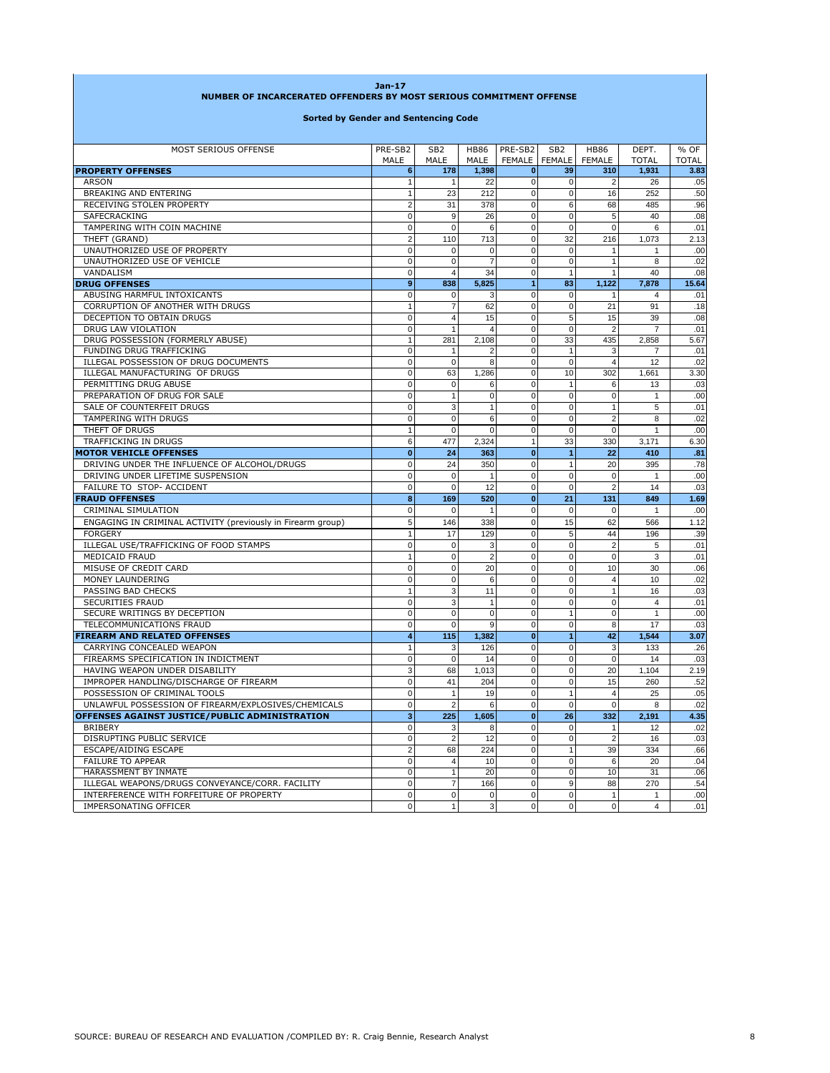| NUMBER OF INCARCERATED OFFENDERS BY MOST SERIOUS COMMITMENT OFFENSE<br><b>Sorted by Gender and Sentencing Code</b> |                          |                                |                  |                          |                     |                      |                       |              |  |
|--------------------------------------------------------------------------------------------------------------------|--------------------------|--------------------------------|------------------|--------------------------|---------------------|----------------------|-----------------------|--------------|--|
|                                                                                                                    |                          |                                |                  |                          |                     |                      |                       |              |  |
| <b>PROPERTY OFFENSES</b>                                                                                           | MALE<br>6                | MALE<br>178                    | MALE<br>1,398    | FEMALE<br>$\mathbf{0}$   | <b>FEMALE</b><br>39 | <b>FEMALE</b><br>310 | <b>TOTAL</b><br>1,931 | <b>TOTAL</b> |  |
| <b>ARSON</b>                                                                                                       | $\overline{1}$           | $\overline{1}$                 | 22               | $\pmb{0}$                | $\mathbf 0$         | $\overline{2}$       | 26                    | 3.83<br>.05  |  |
| <b>BREAKING AND ENTERING</b>                                                                                       | $\overline{1}$           | 23                             | 212              | $\mathsf 0$              | $\mathbf 0$         | 16                   | 252                   | .50          |  |
| RECEIVING STOLEN PROPERTY                                                                                          | $\overline{2}$           | 31                             | 378              | $\overline{0}$           | 6                   | 68                   | 485                   | .96          |  |
| SAFECRACKING                                                                                                       | $\mathbf 0$              | 9                              | 26               | $\pmb{0}$                | $\mathbf 0$         | 5                    | 40                    | .08          |  |
| TAMPERING WITH COIN MACHINE                                                                                        | $\mathbf 0$              | $\mathbf 0$                    | 6                | $\mathbf 0$              | $\mathbf 0$         | $\mathbf 0$          | 6                     | .01          |  |
| THEFT (GRAND)                                                                                                      | $\overline{2}$           | 110                            | 713              | $\mathbf 0$              | 32                  | 216                  | 1,073                 | 2.13         |  |
| UNAUTHORIZED USE OF PROPERTY                                                                                       | $\mathbf 0$              | $\mathbf 0$                    | $\mathbf 0$      | $\pmb{0}$                | $\mathbf 0$         | $\mathbf{1}$         | $\mathbf{1}$          | .00          |  |
| UNAUTHORIZED USE OF VEHICLE                                                                                        | $\mathbf 0$              | $\mathbf 0$                    | $\overline{7}$   | $\overline{0}$           | $\mathbf 0$         | $\mathbf{1}$         | 8                     | .02          |  |
| VANDALISM                                                                                                          | 0                        | $\overline{4}$                 | 34               | $\pmb{0}$                | $\mathbf{1}$        | 1                    | 40                    | .08          |  |
| <b>DRUG OFFENSES</b>                                                                                               | 9                        | 838                            | 5,825            | $\overline{1}$           | 83                  | 1,122                | 7,878                 | 15.64        |  |
| ABUSING HARMFUL INTOXICANTS                                                                                        | 0                        | $\mathbf 0$                    | 3                | $\mathbf 0$              | $\mathbf 0$         | $\mathbf{1}$         | $\overline{4}$        | .01          |  |
| CORRUPTION OF ANOTHER WITH DRUGS                                                                                   | $\overline{1}$           | $\overline{7}$                 | 62               | $\overline{0}$           | $\mathbf 0$         | 21                   | 91                    | .18          |  |
| DECEPTION TO OBTAIN DRUGS                                                                                          | $\mathbf 0$              | $\overline{4}$                 | 15               | $\pmb{0}$                | 5                   | 15                   | 39                    | .08          |  |
| DRUG LAW VIOLATION                                                                                                 | $\mathbf 0$              | $\overline{1}$                 | $\overline{4}$   | $\mathbf 0$              | $\mathbf 0$         | $\overline{2}$       | $\overline{7}$        | .01          |  |
| DRUG POSSESSION (FORMERLY ABUSE)                                                                                   | $\mathbf{1}$             | 281                            | 2,108            | $\pmb{0}$                | 33                  | 435                  | 2,858                 | 5.67         |  |
| FUNDING DRUG TRAFFICKING                                                                                           | $\mathbf 0$              | $\overline{1}$                 | $\overline{2}$   | $\pmb{0}$                | $\mathbf{1}$        | 3                    | $\overline{7}$        | .01          |  |
| ILLEGAL POSSESSION OF DRUG DOCUMENTS                                                                               | 0                        | $\mathbf 0$                    | 8                | $\mathbf 0$              | $\mathbf 0$         | $\overline{4}$       | 12                    | .02          |  |
| ILLEGAL MANUFACTURING OF DRUGS                                                                                     | $\mathbf 0$              | 63                             | 1,286            | $\mathbf 0$              | 10                  | 302                  | 1,661                 | 3.30         |  |
| PERMITTING DRUG ABUSE                                                                                              | $\mathbf 0$              | $\mathbf 0$                    | 6                | $\mathbf 0$              | $\mathbf{1}$        | 6                    | 13                    | .03          |  |
| PREPARATION OF DRUG FOR SALE                                                                                       | $\mathbf 0$              | $\overline{1}$                 | $\mathbf 0$      | $\mathbf 0$              | $\mathbf 0$         | $\mathbf 0$          | $\mathbf{1}$          | .00          |  |
| SALE OF COUNTERFEIT DRUGS                                                                                          | $\mathbf 0$              | 3                              | $\mathbf{1}$     | $\pmb{0}$                | $\mathbf 0$         | $\mathbf{1}$         | 5                     | .01          |  |
| TAMPERING WITH DRUGS                                                                                               | $\mathbf 0$              | $\mathbf 0$                    | 6                | $\pmb{0}$                | $\mathbf 0$         | $\overline{2}$       | 8                     | .02          |  |
| THEFT OF DRUGS                                                                                                     | $\overline{1}$           | $\mathbf 0$                    | $\mathbf 0$      | $\mathbf 0$              | $\mathbf 0$         | $\mathbf 0$          | $\mathbf{1}$          | .00          |  |
| TRAFFICKING IN DRUGS                                                                                               | 6                        | 477                            | 2,324            | $\mathbf{1}$             | 33                  | 330                  | 3,171                 | 6.30         |  |
| <b>MOTOR VEHICLE OFFENSES</b>                                                                                      | $\overline{0}$           | 24                             | 363              | $\mathbf{0}$             | $\overline{1}$      | 22                   | 410                   | .81          |  |
| DRIVING UNDER THE INFLUENCE OF ALCOHOL/DRUGS                                                                       | $\mathbf 0$              | 24                             | 350              | $\mathsf 0$              | $\mathbf{1}$        | 20                   | 395                   | .78          |  |
| DRIVING UNDER LIFETIME SUSPENSION                                                                                  | $\mathbf 0$              | $\mathbf 0$                    | $\mathbf{1}$     | $\mathbf 0$              | $\mathbf 0$         | $\mathbf 0$          | $\mathbf{1}$          | .00          |  |
| FAILURE TO STOP- ACCIDENT                                                                                          | $\mathbf 0$              | $\mathbf 0$                    | 12               | $\mathbf 0$              | $\mathbf 0$         | $\overline{2}$       | 14                    | .03          |  |
| <b>FRAUD OFFENSES</b>                                                                                              | 8                        | 169                            | 520              | $\mathbf{0}$             | 21                  | 131                  | 849                   | 1.69         |  |
| CRIMINAL SIMULATION                                                                                                | $\mathbf 0$              | $\mathbf 0$                    | $\mathbf{1}$     | $\pmb{0}$                | $\mathbf 0$         | $\mathbf 0$          | $\mathbf{1}$          | .00          |  |
| ENGAGING IN CRIMINAL ACTIVITY (previously in Firearm group)                                                        | 5                        | 146                            | 338              | $\mathbf 0$              | 15                  | 62                   | 566                   | 1.12         |  |
| <b>FORGERY</b>                                                                                                     | $\overline{1}$           | 17                             | 129              | $\mathbf 0$              | 5                   | 44                   | 196                   | .39          |  |
| ILLEGAL USE/TRAFFICKING OF FOOD STAMPS                                                                             | $\mathbf 0$              | $\mathbf 0$                    | 3                | $\pmb{0}$                | $\mathbf 0$         | $\overline{2}$       | 5                     | .01          |  |
| MEDICAID FRAUD                                                                                                     | $\overline{1}$           | $\mathbf 0$                    | $\overline{2}$   | $\mathbf 0$              | $\mathbf 0$         | $\mathbf 0$          | 3                     | .01          |  |
| MISUSE OF CREDIT CARD                                                                                              | $\mathbf 0$              | $\mathbf 0$                    | 20               | $\pmb{0}$                | $\mathbf 0$         | 10                   | 30                    | .06          |  |
| MONEY LAUNDERING                                                                                                   | $\mathbf 0$              | $\mathbf 0$                    | 6                | $\mathbf 0$              | $\mathbf 0$         | $\overline{4}$       | 10                    | .02          |  |
| PASSING BAD CHECKS                                                                                                 | $\overline{1}$           | 3                              | 11               | $\mathbf 0$              | $\mathbf 0$         | $\mathbf{1}$         | 16                    | .03          |  |
| SECURITIES FRAUD                                                                                                   | $\mathbf 0$              | 3                              | $\mathbf{1}$     | $\mathbf 0$              | $\mathbf 0$         | $\mathbf 0$          | $\overline{4}$        | .01          |  |
| SECURE WRITINGS BY DECEPTION                                                                                       | $\mathbf 0$              | $\mathbf 0$                    | $\mathbf 0$      | $\mathbf 0$              | $\mathbf{1}$        | $\mathbf 0$          | $\mathbf{1}$          | .00          |  |
| TELECOMMUNICATIONS FRAUD                                                                                           | $\mathbf 0$              | $\mathbf 0$                    | 9                | $\pmb{0}$                | $\mathbf 0$         | 8                    | 17                    | .03          |  |
| <b>FIREARM AND RELATED OFFENSES</b>                                                                                | $\overline{4}$           | 115                            | 1,382            | $\mathbf{0}$             | $\mathbf{1}$        | 42                   | 1,544                 | 3.07         |  |
| CARRYING CONCEALED WEAPON                                                                                          | $\mathbf{1}$             | 3                              | 126              | $\mathbf 0$              | $\mathbf 0$         | 3                    | 133                   | .26          |  |
| FIREARMS SPECIFICATION IN INDICTMENT                                                                               | $\mathbf 0$              | $\mathbf 0$                    | 14               | $\mathbf 0$              | $\mathbf 0$         | $\mathbf 0$          | 14                    | .03          |  |
| HAVING WEAPON UNDER DISABILITY                                                                                     | 3                        | 68                             | 1,013            | $\mathbf 0$              | $\mathbf 0$         | 20                   | 1,104                 | 2.19         |  |
| IMPROPER HANDLING/DISCHARGE OF FIREARM                                                                             | $\mathbf 0$              | 41                             | 204              | $\mathbf 0$              | 0                   | 15                   | 260                   | .52          |  |
| POSSESSION OF CRIMINAL TOOLS                                                                                       | $\mathbf 0$              | $\mathbf{1}$                   | 19               | $\mathbf 0$              | $\mathbf{1}$        | $\overline{4}$       | 25                    | .05          |  |
| UNLAWFUL POSSESSION OF FIREARM/EXPLOSIVES/CHEMICALS                                                                | $\overline{0}$           | 2                              | 6                | 0                        | $\overline{0}$      | $\mathbf{0}$         | 8                     | .02          |  |
| OFFENSES AGAINST JUSTICE/PUBLIC ADMINISTRATION                                                                     | 3 <sup>1</sup>           | 225                            | 1,605            | $\mathbf 0$              | 26                  | 332                  | 2,191                 | 4.35         |  |
| <b>BRIBERY</b>                                                                                                     | $\overline{0}$           | 3                              | 8                | $\pmb{0}$                | $\mathbf 0$         | 1                    | 12                    | .02          |  |
| DISRUPTING PUBLIC SERVICE                                                                                          | $\pmb{0}$                | $\overline{2}$                 | 12               | $\pmb{0}$                | $\pmb{0}$           | $\overline{2}$       | 16                    | .03          |  |
| ESCAPE/AIDING ESCAPE                                                                                               | $\overline{2}$           | 68                             | 224              | $\pmb{0}$                | $\mathbf{1}$        | 39                   | 334                   | .66          |  |
| <b>FAILURE TO APPEAR</b>                                                                                           | $\pmb{0}$                | $\overline{4}$                 | 10               | $\pmb{0}$                | $\pmb{0}$           | 6                    | 20                    | .04          |  |
| HARASSMENT BY INMATE                                                                                               | $\mathbf 0$<br>$\pmb{0}$ | $\mathbf{1}$<br>$\overline{7}$ | 20               | $\mathsf 0$<br>$\pmb{0}$ | $\pmb{0}$           | 10                   | 31                    | .06          |  |
| ILLEGAL WEAPONS/DRUGS CONVEYANCE/CORR. FACILITY<br>INTERFERENCE WITH FORFEITURE OF PROPERTY                        | $\mathbf 0$              | $\pmb{0}$                      | 166<br>$\pmb{0}$ | $\mathbf 0$              | 9<br>$\pmb{0}$      | 88<br>1              | 270<br>$\mathbf{1}$   | .54<br>.00   |  |
| <b>IMPERSONATING OFFICER</b>                                                                                       | $\mathbf 0$              |                                | 3                | $\pmb{0}$                | $\mathbf 0$         | $\mathbf 0$          | $\overline{4}$        | .01          |  |
|                                                                                                                    |                          |                                |                  |                          |                     |                      |                       |              |  |

**Jan-17**